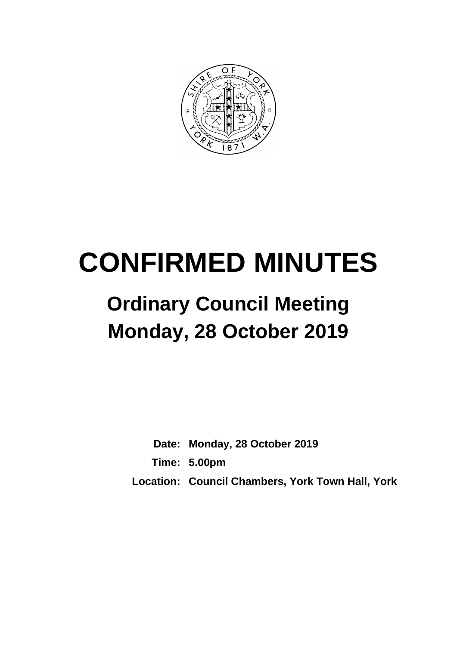

# **CONFIRMED MINUTES**

## **Ordinary Council Meeting Monday, 28 October 2019**

**Date: Monday, 28 October 2019 Time: 5.00pm Location: Council Chambers, York Town Hall, York**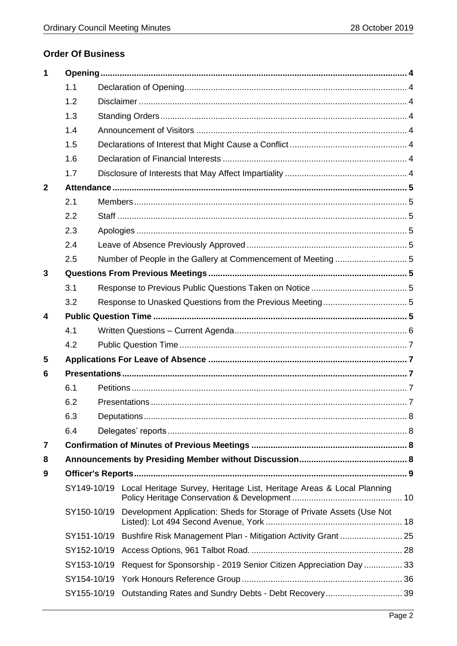## **Order Of Business**

| 1            |             |  |                                                                                   |  |
|--------------|-------------|--|-----------------------------------------------------------------------------------|--|
|              | 1.1         |  |                                                                                   |  |
|              | 1.2         |  |                                                                                   |  |
|              | 1.3         |  |                                                                                   |  |
|              | 1.4         |  |                                                                                   |  |
|              | 1.5         |  |                                                                                   |  |
|              | 1.6         |  |                                                                                   |  |
|              | 1.7         |  |                                                                                   |  |
| $\mathbf{2}$ |             |  |                                                                                   |  |
|              | 2.1         |  |                                                                                   |  |
|              | 2.2         |  |                                                                                   |  |
|              | 2.3         |  |                                                                                   |  |
|              | 2.4         |  |                                                                                   |  |
|              | 2.5         |  |                                                                                   |  |
| 3            |             |  |                                                                                   |  |
|              | 3.1         |  |                                                                                   |  |
|              | 3.2         |  |                                                                                   |  |
| 4            |             |  |                                                                                   |  |
|              | 4.1         |  |                                                                                   |  |
|              | 4.2         |  |                                                                                   |  |
| 5            |             |  |                                                                                   |  |
| 6            |             |  |                                                                                   |  |
|              | 6.1         |  |                                                                                   |  |
|              | 6.2         |  |                                                                                   |  |
|              | 6.3         |  |                                                                                   |  |
|              | 6.4         |  |                                                                                   |  |
| 7            |             |  |                                                                                   |  |
| 8            |             |  |                                                                                   |  |
| 9            |             |  |                                                                                   |  |
|              |             |  | SY149-10/19 Local Heritage Survey, Heritage List, Heritage Areas & Local Planning |  |
|              | SY150-10/19 |  | Development Application: Sheds for Storage of Private Assets (Use Not             |  |
|              |             |  | SY151-10/19 Bushfire Risk Management Plan - Mitigation Activity Grant  25         |  |
|              | SY152-10/19 |  |                                                                                   |  |
|              | SY153-10/19 |  | Request for Sponsorship - 2019 Senior Citizen Appreciation Day  33                |  |
|              | SY154-10/19 |  |                                                                                   |  |
|              | SY155-10/19 |  |                                                                                   |  |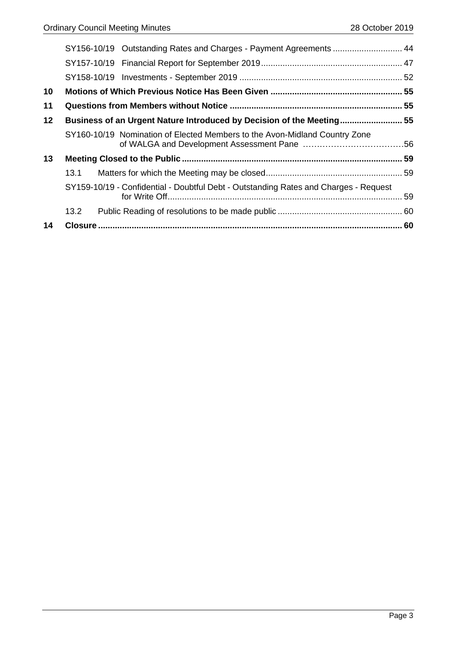|    |      | SY156-10/19 Outstanding Rates and Charges - Payment Agreements  44                   |  |
|----|------|--------------------------------------------------------------------------------------|--|
|    |      |                                                                                      |  |
|    |      |                                                                                      |  |
| 10 |      |                                                                                      |  |
| 11 |      |                                                                                      |  |
| 12 |      | Business of an Urgent Nature Introduced by Decision of the Meeting 55                |  |
|    |      | SY160-10/19 Nomination of Elected Members to the Avon-Midland Country Zone           |  |
| 13 |      |                                                                                      |  |
|    | 13.1 |                                                                                      |  |
|    |      | SY159-10/19 - Confidential - Doubtful Debt - Outstanding Rates and Charges - Request |  |
|    | 13.2 |                                                                                      |  |
| 14 |      |                                                                                      |  |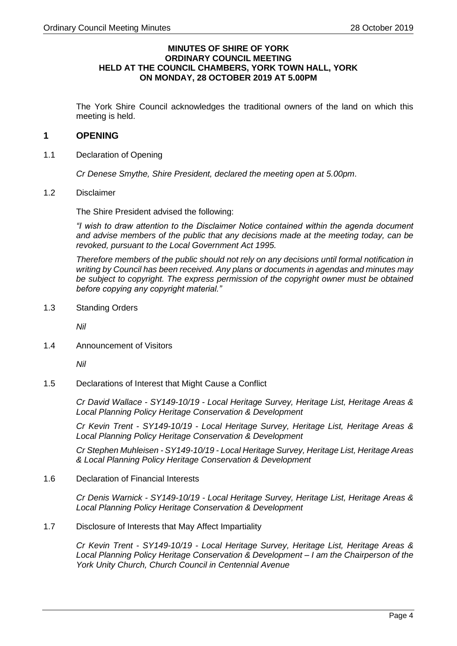#### **MINUTES OF SHIRE OF YORK ORDINARY COUNCIL MEETING HELD AT THE COUNCIL CHAMBERS, YORK TOWN HALL, YORK ON MONDAY, 28 OCTOBER 2019 AT 5.00PM**

The York Shire Council acknowledges the traditional owners of the land on which this meeting is held.

#### <span id="page-3-0"></span>**1 OPENING**

<span id="page-3-1"></span>1.1 Declaration of Opening

*Cr Denese Smythe, Shire President, declared the meeting open at 5.00pm*.

<span id="page-3-2"></span>1.2 Disclaimer

The Shire President advised the following:

*"I wish to draw attention to the Disclaimer Notice contained within the agenda document and advise members of the public that any decisions made at the meeting today, can be revoked, pursuant to the Local Government Act 1995.*

*Therefore members of the public should not rely on any decisions until formal notification in writing by Council has been received. Any plans or documents in agendas and minutes may be subject to copyright. The express permission of the copyright owner must be obtained before copying any copyright material."*

<span id="page-3-3"></span>1.3 Standing Orders

*Nil*

<span id="page-3-4"></span>1.4 Announcement of Visitors

*Nil*

<span id="page-3-5"></span>1.5 Declarations of Interest that Might Cause a Conflict

*Cr David Wallace - SY149-10/19 - Local Heritage Survey, Heritage List, Heritage Areas & Local Planning Policy Heritage Conservation & Development*

*Cr Kevin Trent - SY149-10/19 - Local Heritage Survey, Heritage List, Heritage Areas & Local Planning Policy Heritage Conservation & Development*

*Cr Stephen Muhleisen - SY149-10/19 - Local Heritage Survey, Heritage List, Heritage Areas & Local Planning Policy Heritage Conservation & Development*

<span id="page-3-6"></span>1.6 Declaration of Financial Interests

*Cr Denis Warnick - SY149-10/19 - Local Heritage Survey, Heritage List, Heritage Areas & Local Planning Policy Heritage Conservation & Development*

<span id="page-3-7"></span>1.7 Disclosure of Interests that May Affect Impartiality

*Cr Kevin Trent - SY149-10/19 - Local Heritage Survey, Heritage List, Heritage Areas & Local Planning Policy Heritage Conservation & Development – I am the Chairperson of the York Unity Church, Church Council in Centennial Avenue*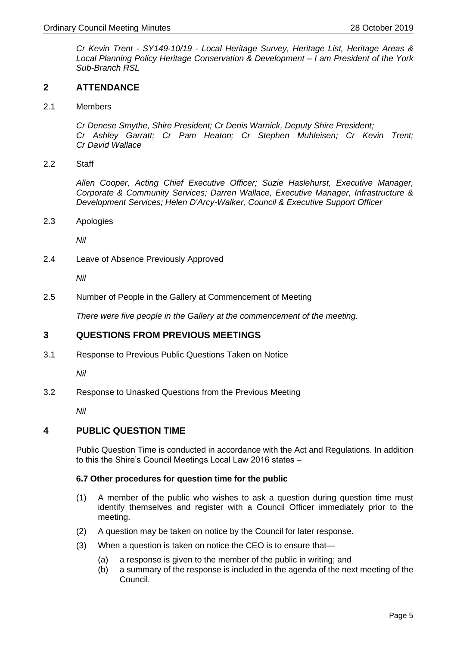*Cr Kevin Trent - SY149-10/19 - Local Heritage Survey, Heritage List, Heritage Areas & Local Planning Policy Heritage Conservation & Development – I am President of the York Sub-Branch RSL*

#### <span id="page-4-0"></span>**2 ATTENDANCE**

<span id="page-4-1"></span>2.1 Members

*Cr Denese Smythe, Shire President; Cr Denis Warnick, Deputy Shire President; Cr Ashley Garratt; Cr Pam Heaton; Cr Stephen Muhleisen; Cr Kevin Trent; Cr David Wallace*

<span id="page-4-2"></span>2.2 Staff

*Allen Cooper, Acting Chief Executive Officer; Suzie Haslehurst, Executive Manager, Corporate & Community Services; Darren Wallace, Executive Manager, Infrastructure & Development Services; Helen D'Arcy-Walker, Council & Executive Support Officer*

<span id="page-4-3"></span>2.3 Apologies

*Nil*

<span id="page-4-4"></span>2.4 Leave of Absence Previously Approved

*Nil*

<span id="page-4-5"></span>2.5 Number of People in the Gallery at Commencement of Meeting

*There were five people in the Gallery at the commencement of the meeting.*

#### <span id="page-4-6"></span>**3 QUESTIONS FROM PREVIOUS MEETINGS**

<span id="page-4-7"></span>3.1 Response to Previous Public Questions Taken on Notice

*Nil*

<span id="page-4-8"></span>3.2 Response to Unasked Questions from the Previous Meeting

*Nil*

#### <span id="page-4-9"></span>**4 PUBLIC QUESTION TIME**

Public Question Time is conducted in accordance with the Act and Regulations. In addition to this the Shire's Council Meetings Local Law 2016 states –

#### **6.7 Other procedures for question time for the public**

- (1) A member of the public who wishes to ask a question during question time must identify themselves and register with a Council Officer immediately prior to the meeting.
- (2) A question may be taken on notice by the Council for later response.
- (3) When a question is taken on notice the CEO is to ensure that—
	- (a) a response is given to the member of the public in writing; and
	- (b) a summary of the response is included in the agenda of the next meeting of the Council.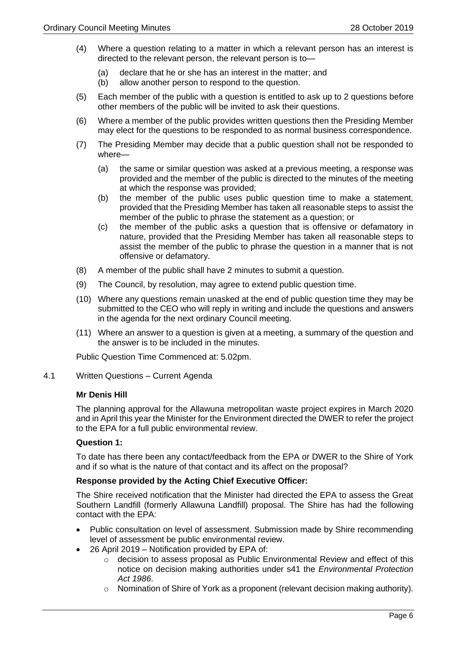- (4) Where a question relating to a matter in which a relevant person has an interest is directed to the relevant person, the relevant person is to—
	- (a) declare that he or she has an interest in the matter; and
	- (b) allow another person to respond to the question.
- (5) Each member of the public with a question is entitled to ask up to 2 questions before other members of the public will be invited to ask their questions.
- (6) Where a member of the public provides written questions then the Presiding Member may elect for the questions to be responded to as normal business correspondence.
- (7) The Presiding Member may decide that a public question shall not be responded to where—
	- (a) the same or similar question was asked at a previous meeting, a response was provided and the member of the public is directed to the minutes of the meeting at which the response was provided;
	- (b) the member of the public uses public question time to make a statement, provided that the Presiding Member has taken all reasonable steps to assist the member of the public to phrase the statement as a question; or
	- (c) the member of the public asks a question that is offensive or defamatory in nature, provided that the Presiding Member has taken all reasonable steps to assist the member of the public to phrase the question in a manner that is not offensive or defamatory.
- (8) A member of the public shall have 2 minutes to submit a question.
- (9) The Council, by resolution, may agree to extend public question time.
- (10) Where any questions remain unasked at the end of public question time they may be submitted to the CEO who will reply in writing and include the questions and answers in the agenda for the next ordinary Council meeting.
- (11) Where an answer to a question is given at a meeting, a summary of the question and the answer is to be included in the minutes.

Public Question Time Commenced at: 5.02pm.

<span id="page-5-0"></span>4.1 Written Questions – Current Agenda

#### **Mr Denis Hill**

The planning approval for the Allawuna metropolitan waste project expires in March 2020 and in April this year the Minister for the Environment directed the DWER to refer the project to the EPA for a full public environmental review.

#### **Question 1:**

To date has there been any contact/feedback from the EPA or DWER to the Shire of York and if so what is the nature of that contact and its affect on the proposal?

#### **Response provided by the Acting Chief Executive Officer:**

The Shire received notification that the Minister had directed the EPA to assess the Great Southern Landfill (formerly Allawuna Landfill) proposal. The Shire has had the following contact with the EPA:

- Public consultation on level of assessment. Submission made by Shire recommending level of assessment be public environmental review.
- 26 April 2019 Notification provided by EPA of:
	- o decision to assess proposal as Public Environmental Review and effect of this notice on decision making authorities under s41 the *Environmental Protection Act 1986*.
	- $\circ$  Nomination of Shire of York as a proponent (relevant decision making authority).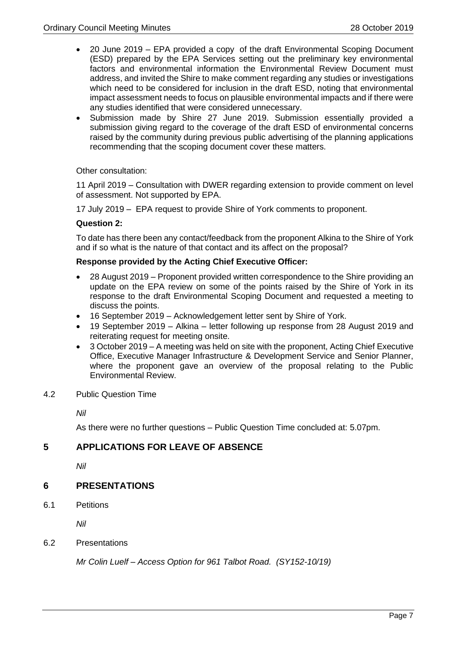- 20 June 2019 EPA provided a copy of the draft Environmental Scoping Document (ESD) prepared by the EPA Services setting out the preliminary key environmental factors and environmental information the Environmental Review Document must address, and invited the Shire to make comment regarding any studies or investigations which need to be considered for inclusion in the draft ESD, noting that environmental impact assessment needs to focus on plausible environmental impacts and if there were any studies identified that were considered unnecessary.
- Submission made by Shire 27 June 2019. Submission essentially provided a submission giving regard to the coverage of the draft ESD of environmental concerns raised by the community during previous public advertising of the planning applications recommending that the scoping document cover these matters.

Other consultation:

11 April 2019 – Consultation with DWER regarding extension to provide comment on level of assessment. Not supported by EPA.

17 July 2019 – EPA request to provide Shire of York comments to proponent.

#### **Question 2:**

To date has there been any contact/feedback from the proponent Alkina to the Shire of York and if so what is the nature of that contact and its affect on the proposal?

#### **Response provided by the Acting Chief Executive Officer:**

- 28 August 2019 Proponent provided written correspondence to the Shire providing an update on the EPA review on some of the points raised by the Shire of York in its response to the draft Environmental Scoping Document and requested a meeting to discuss the points.
- 16 September 2019 Acknowledgement letter sent by Shire of York.
- 19 September 2019 Alkina letter following up response from 28 August 2019 and reiterating request for meeting onsite.
- 3 October 2019 A meeting was held on site with the proponent, Acting Chief Executive Office, Executive Manager Infrastructure & Development Service and Senior Planner, where the proponent gave an overview of the proposal relating to the Public Environmental Review.
- <span id="page-6-0"></span>4.2 Public Question Time

*Nil*

As there were no further questions – Public Question Time concluded at: 5.07pm.

#### <span id="page-6-1"></span>**5 APPLICATIONS FOR LEAVE OF ABSENCE**

*Nil*

#### <span id="page-6-2"></span>**6 PRESENTATIONS**

<span id="page-6-3"></span>6.1 Petitions

*Nil*

<span id="page-6-4"></span>6.2 Presentations

*Mr Colin Luelf – Access Option for 961 Talbot Road. (SY152-10/19)*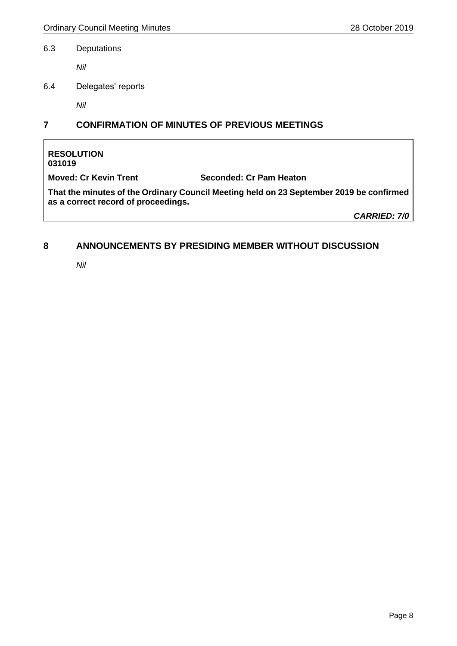#### <span id="page-7-0"></span>6.3 Deputations

*Nil*

<span id="page-7-1"></span>6.4 Delegates' reports

*Nil*

## <span id="page-7-2"></span>**7 CONFIRMATION OF MINUTES OF PREVIOUS MEETINGS**

#### **RESOLUTION 031019**

**Moved: Cr Kevin Trent Seconded: Cr Pam Heaton**

**That the minutes of the Ordinary Council Meeting held on 23 September 2019 be confirmed as a correct record of proceedings.**

*CARRIED: 7/0*

## <span id="page-7-3"></span>**8 ANNOUNCEMENTS BY PRESIDING MEMBER WITHOUT DISCUSSION**

*Nil*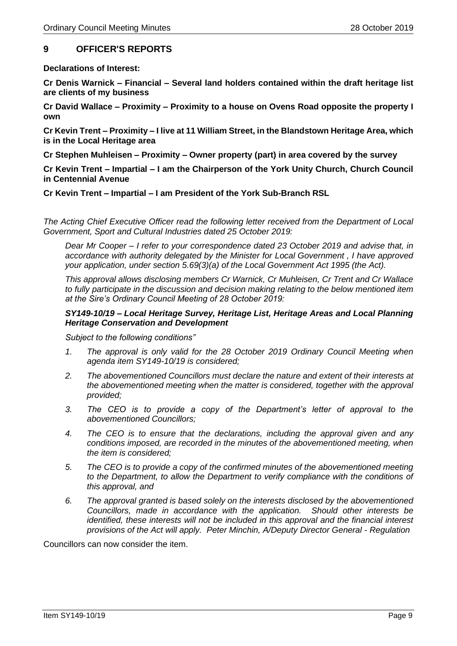#### <span id="page-8-0"></span>**9 OFFICER'S REPORTS**

**Declarations of Interest:**

**Cr Denis Warnick – Financial – Several land holders contained within the draft heritage list are clients of my business**

**Cr David Wallace – Proximity – Proximity to a house on Ovens Road opposite the property I own**

**Cr Kevin Trent – Proximity – I live at 11 William Street, in the Blandstown Heritage Area, which is in the Local Heritage area**

**Cr Stephen Muhleisen – Proximity – Owner property (part) in area covered by the survey**

**Cr Kevin Trent – Impartial – I am the Chairperson of the York Unity Church, Church Council in Centennial Avenue**

**Cr Kevin Trent – Impartial – I am President of the York Sub-Branch RSL**

*The Acting Chief Executive Officer read the following letter received from the Department of Local Government, Sport and Cultural Industries dated 25 October 2019:*

*Dear Mr Cooper – I refer to your correspondence dated 23 October 2019 and advise that, in accordance with authority delegated by the Minister for Local Government , I have approved your application, under section 5.69(3)(a) of the Local Government Act 1995 (the Act).*

*This approval allows disclosing members Cr Warnick, Cr Muhleisen, Cr Trent and Cr Wallace to fully participate in the discussion and decision making relating to the below mentioned item at the Sire's Ordinary Council Meeting of 28 October 2019:*

#### *SY149-10/19 – Local Heritage Survey, Heritage List, Heritage Areas and Local Planning Heritage Conservation and Development*

*Subject to the following conditions"*

- *1. The approval is only valid for the 28 October 2019 Ordinary Council Meeting when agenda item SY149-10/19 is considered;*
- *2. The abovementioned Councillors must declare the nature and extent of their interests at the abovementioned meeting when the matter is considered, together with the approval provided;*
- *3. The CEO is to provide a copy of the Department's letter of approval to the abovementioned Councillors;*
- *4. The CEO is to ensure that the declarations, including the approval given and any conditions imposed, are recorded in the minutes of the abovementioned meeting, when the item is considered;*
- *5. The CEO is to provide a copy of the confirmed minutes of the abovementioned meeting to the Department, to allow the Department to verify compliance with the conditions of this approval, and*
- *6. The approval granted is based solely on the interests disclosed by the abovementioned Councillors, made in accordance with the application. Should other interests be identified, these interests will not be included in this approval and the financial interest provisions of the Act will apply. Peter Minchin, A/Deputy Director General - Regulation*

Councillors can now consider the item.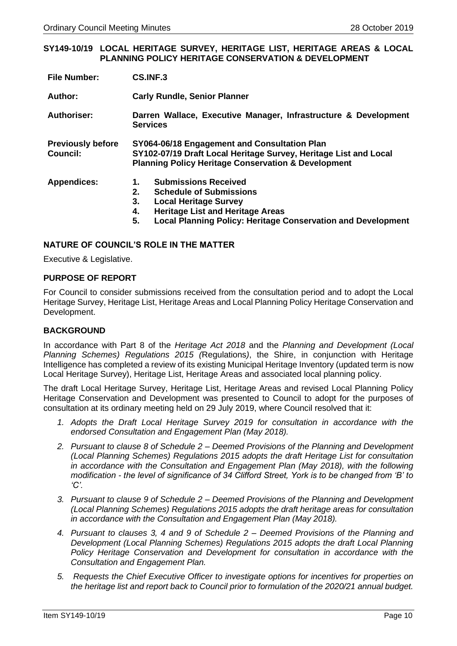#### <span id="page-9-0"></span>**SY149-10/19 LOCAL HERITAGE SURVEY, HERITAGE LIST, HERITAGE AREAS & LOCAL PLANNING POLICY HERITAGE CONSERVATION & DEVELOPMENT**

| <b>File Number:</b>                         | CS.INF.3                                                                                                                                                                                                                                      |  |  |
|---------------------------------------------|-----------------------------------------------------------------------------------------------------------------------------------------------------------------------------------------------------------------------------------------------|--|--|
| Author:                                     | <b>Carly Rundle, Senior Planner</b>                                                                                                                                                                                                           |  |  |
| <b>Authoriser:</b>                          | Darren Wallace, Executive Manager, Infrastructure & Development<br><b>Services</b>                                                                                                                                                            |  |  |
| <b>Previously before</b><br><b>Council:</b> | SY064-06/18 Engagement and Consultation Plan<br>SY102-07/19 Draft Local Heritage Survey, Heritage List and Local<br><b>Planning Policy Heritage Conservation &amp; Development</b>                                                            |  |  |
| <b>Appendices:</b>                          | <b>Submissions Received</b><br>1.<br>2.<br><b>Schedule of Submissions</b><br>3.<br><b>Local Heritage Survey</b><br><b>Heritage List and Heritage Areas</b><br>4.<br>5.<br><b>Local Planning Policy: Heritage Conservation and Development</b> |  |  |

#### **NATURE OF COUNCIL'S ROLE IN THE MATTER**

Executive & Legislative.

#### **PURPOSE OF REPORT**

For Council to consider submissions received from the consultation period and to adopt the Local Heritage Survey, Heritage List, Heritage Areas and Local Planning Policy Heritage Conservation and Development.

#### **BACKGROUND**

In accordance with Part 8 of the *Heritage Act 2018* and the *Planning and Development (Local Planning Schemes) Regulations 2015 (*Regulations*)*, the Shire, in conjunction with Heritage Intelligence has completed a review of its existing Municipal Heritage Inventory (updated term is now Local Heritage Survey), Heritage List, Heritage Areas and associated local planning policy.

The draft Local Heritage Survey, Heritage List, Heritage Areas and revised Local Planning Policy Heritage Conservation and Development was presented to Council to adopt for the purposes of consultation at its ordinary meeting held on 29 July 2019, where Council resolved that it:

- *1. Adopts the Draft Local Heritage Survey 2019 for consultation in accordance with the endorsed Consultation and Engagement Plan (May 2018).*
- *2. Pursuant to clause 8 of Schedule 2 – Deemed Provisions of the Planning and Development (Local Planning Schemes) Regulations 2015 adopts the draft Heritage List for consultation in accordance with the Consultation and Engagement Plan (May 2018), with the following modification - the level of significance of 34 Clifford Street, York is to be changed from 'B' to 'C'.*
- *3. Pursuant to clause 9 of Schedule 2 – Deemed Provisions of the Planning and Development (Local Planning Schemes) Regulations 2015 adopts the draft heritage areas for consultation in accordance with the Consultation and Engagement Plan (May 2018).*
- *4. Pursuant to clauses 3, 4 and 9 of Schedule 2 – Deemed Provisions of the Planning and Development (Local Planning Schemes) Regulations 2015 adopts the draft Local Planning Policy Heritage Conservation and Development for consultation in accordance with the Consultation and Engagement Plan.*
- *5. Requests the Chief Executive Officer to investigate options for incentives for properties on the heritage list and report back to Council prior to formulation of the 2020/21 annual budget.*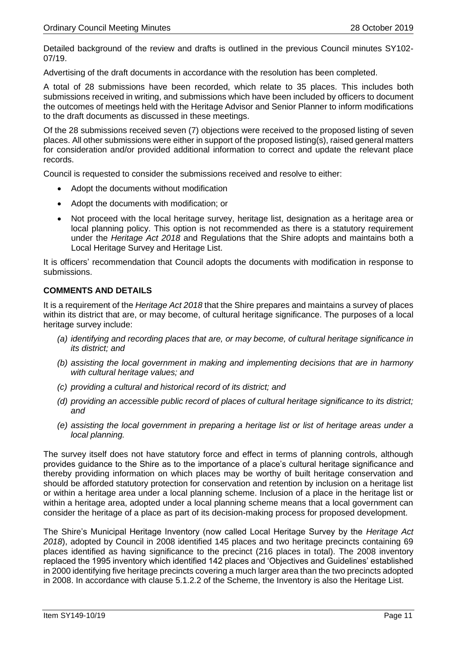Detailed background of the review and drafts is outlined in the previous Council minutes SY102- 07/19.

Advertising of the draft documents in accordance with the resolution has been completed.

A total of 28 submissions have been recorded, which relate to 35 places. This includes both submissions received in writing, and submissions which have been included by officers to document the outcomes of meetings held with the Heritage Advisor and Senior Planner to inform modifications to the draft documents as discussed in these meetings.

Of the 28 submissions received seven (7) objections were received to the proposed listing of seven places. All other submissions were either in support of the proposed listing(s), raised general matters for consideration and/or provided additional information to correct and update the relevant place records.

Council is requested to consider the submissions received and resolve to either:

- Adopt the documents without modification
- Adopt the documents with modification; or
- Not proceed with the local heritage survey, heritage list, designation as a heritage area or local planning policy. This option is not recommended as there is a statutory requirement under the *Heritage Act 2018* and Regulations that the Shire adopts and maintains both a Local Heritage Survey and Heritage List.

It is officers' recommendation that Council adopts the documents with modification in response to submissions.

#### **COMMENTS AND DETAILS**

It is a requirement of the *Heritage Act 2018* that the Shire prepares and maintains a survey of places within its district that are, or may become, of cultural heritage significance. The purposes of a local heritage survey include:

- *(a) identifying and recording places that are, or may become, of cultural heritage significance in its district; and*
- *(b) assisting the local government in making and implementing decisions that are in harmony with cultural heritage values; and*
- *(c) providing a cultural and historical record of its district; and*
- *(d) providing an accessible public record of places of cultural heritage significance to its district; and*
- *(e) assisting the local government in preparing a heritage list or list of heritage areas under a local planning.*

The survey itself does not have statutory force and effect in terms of planning controls, although provides guidance to the Shire as to the importance of a place's cultural heritage significance and thereby providing information on which places may be worthy of built heritage conservation and should be afforded statutory protection for conservation and retention by inclusion on a heritage list or within a heritage area under a local planning scheme. Inclusion of a place in the heritage list or within a heritage area, adopted under a local planning scheme means that a local government can consider the heritage of a place as part of its decision-making process for proposed development.

The Shire's Municipal Heritage Inventory (now called Local Heritage Survey by the *Heritage Act 2018*), adopted by Council in 2008 identified 145 places and two heritage precincts containing 69 places identified as having significance to the precinct (216 places in total). The 2008 inventory replaced the 1995 inventory which identified 142 places and 'Objectives and Guidelines' established in 2000 identifying five heritage precincts covering a much larger area than the two precincts adopted in 2008. In accordance with clause 5.1.2.2 of the Scheme, the Inventory is also the Heritage List.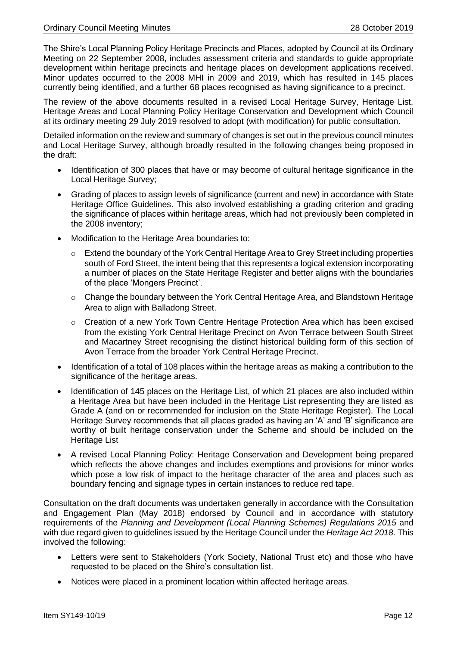The Shire's Local Planning Policy Heritage Precincts and Places, adopted by Council at its Ordinary Meeting on 22 September 2008, includes assessment criteria and standards to guide appropriate development within heritage precincts and heritage places on development applications received. Minor updates occurred to the 2008 MHI in 2009 and 2019, which has resulted in 145 places currently being identified, and a further 68 places recognised as having significance to a precinct.

The review of the above documents resulted in a revised Local Heritage Survey, Heritage List, Heritage Areas and Local Planning Policy Heritage Conservation and Development which Council at its ordinary meeting 29 July 2019 resolved to adopt (with modification) for public consultation.

Detailed information on the review and summary of changes is set out in the previous council minutes and Local Heritage Survey, although broadly resulted in the following changes being proposed in the draft:

- Identification of 300 places that have or may become of cultural heritage significance in the Local Heritage Survey;
- Grading of places to assign levels of significance (current and new) in accordance with State Heritage Office Guidelines. This also involved establishing a grading criterion and grading the significance of places within heritage areas, which had not previously been completed in the 2008 inventory;
- Modification to the Heritage Area boundaries to:
	- o Extend the boundary of the York Central Heritage Area to Grey Street including properties south of Ford Street, the intent being that this represents a logical extension incorporating a number of places on the State Heritage Register and better aligns with the boundaries of the place 'Mongers Precinct'.
	- o Change the boundary between the York Central Heritage Area, and Blandstown Heritage Area to align with Balladong Street.
	- o Creation of a new York Town Centre Heritage Protection Area which has been excised from the existing York Central Heritage Precinct on Avon Terrace between South Street and Macartney Street recognising the distinct historical building form of this section of Avon Terrace from the broader York Central Heritage Precinct.
- Identification of a total of 108 places within the heritage areas as making a contribution to the significance of the heritage areas.
- Identification of 145 places on the Heritage List, of which 21 places are also included within a Heritage Area but have been included in the Heritage List representing they are listed as Grade A (and on or recommended for inclusion on the State Heritage Register). The Local Heritage Survey recommends that all places graded as having an 'A' and 'B' significance are worthy of built heritage conservation under the Scheme and should be included on the Heritage List
- A revised Local Planning Policy: Heritage Conservation and Development being prepared which reflects the above changes and includes exemptions and provisions for minor works which pose a low risk of impact to the heritage character of the area and places such as boundary fencing and signage types in certain instances to reduce red tape.

Consultation on the draft documents was undertaken generally in accordance with the Consultation and Engagement Plan (May 2018) endorsed by Council and in accordance with statutory requirements of the *Planning and Development (Local Planning Schemes) Regulations 2015* and with due regard given to guidelines issued by the Heritage Council under the *Heritage Act 2018*. This involved the following:

- Letters were sent to Stakeholders (York Society, National Trust etc) and those who have requested to be placed on the Shire's consultation list.
- Notices were placed in a prominent location within affected heritage areas.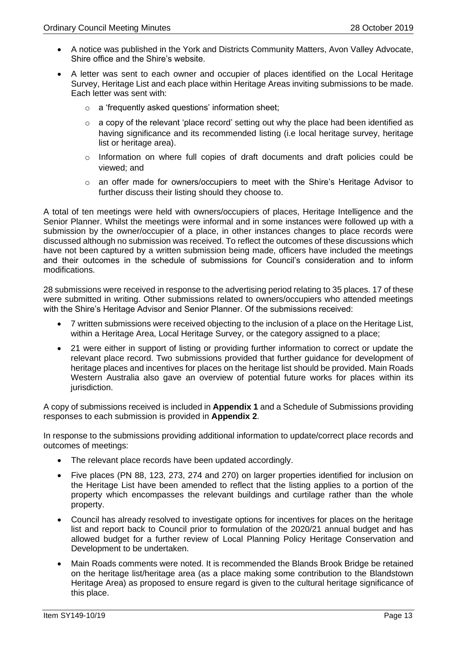- A notice was published in the York and Districts Community Matters, Avon Valley Advocate, Shire office and the Shire's website.
- A letter was sent to each owner and occupier of places identified on the Local Heritage Survey, Heritage List and each place within Heritage Areas inviting submissions to be made. Each letter was sent with:
	- o a 'frequently asked questions' information sheet;
	- o a copy of the relevant 'place record' setting out why the place had been identified as having significance and its recommended listing (i.e local heritage survey, heritage list or heritage area).
	- $\circ$  Information on where full copies of draft documents and draft policies could be viewed; and
	- o an offer made for owners/occupiers to meet with the Shire's Heritage Advisor to further discuss their listing should they choose to.

A total of ten meetings were held with owners/occupiers of places, Heritage Intelligence and the Senior Planner. Whilst the meetings were informal and in some instances were followed up with a submission by the owner/occupier of a place, in other instances changes to place records were discussed although no submission was received. To reflect the outcomes of these discussions which have not been captured by a written submission being made, officers have included the meetings and their outcomes in the schedule of submissions for Council's consideration and to inform modifications.

28 submissions were received in response to the advertising period relating to 35 places. 17 of these were submitted in writing. Other submissions related to owners/occupiers who attended meetings with the Shire's Heritage Advisor and Senior Planner. Of the submissions received:

- 7 written submissions were received objecting to the inclusion of a place on the Heritage List, within a Heritage Area, Local Heritage Survey, or the category assigned to a place;
- 21 were either in support of listing or providing further information to correct or update the relevant place record. Two submissions provided that further guidance for development of heritage places and incentives for places on the heritage list should be provided. Main Roads Western Australia also gave an overview of potential future works for places within its jurisdiction.

A copy of submissions received is included in **Appendix 1** and a Schedule of Submissions providing responses to each submission is provided in **Appendix 2**.

In response to the submissions providing additional information to update/correct place records and outcomes of meetings:

- The relevant place records have been updated accordingly.
- Five places (PN 88, 123, 273, 274 and 270) on larger properties identified for inclusion on the Heritage List have been amended to reflect that the listing applies to a portion of the property which encompasses the relevant buildings and curtilage rather than the whole property.
- Council has already resolved to investigate options for incentives for places on the heritage list and report back to Council prior to formulation of the 2020/21 annual budget and has allowed budget for a further review of Local Planning Policy Heritage Conservation and Development to be undertaken.
- Main Roads comments were noted. It is recommended the Blands Brook Bridge be retained on the heritage list/heritage area (as a place making some contribution to the Blandstown Heritage Area) as proposed to ensure regard is given to the cultural heritage significance of this place.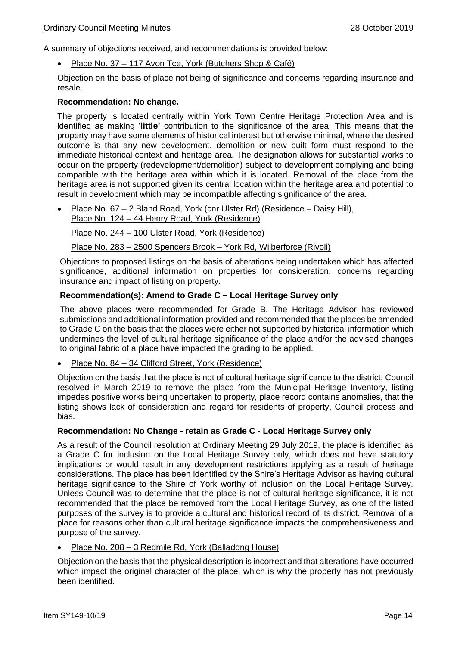A summary of objections received, and recommendations is provided below:

• Place No. 37 – 117 Avon Tce, York (Butchers Shop & Café)

Objection on the basis of place not being of significance and concerns regarding insurance and resale.

#### **Recommendation: No change.**

The property is located centrally within York Town Centre Heritage Protection Area and is identified as making '**little'** contribution to the significance of the area. This means that the property may have some elements of historical interest but otherwise minimal, where the desired outcome is that any new development, demolition or new built form must respond to the immediate historical context and heritage area. The designation allows for substantial works to occur on the property (redevelopment/demolition) subject to development complying and being compatible with the heritage area within which it is located. Removal of the place from the heritage area is not supported given its central location within the heritage area and potential to result in development which may be incompatible affecting significance of the area.

• Place No. 67 – 2 Bland Road, York (cnr Ulster Rd) (Residence – Daisy Hill), Place No. 124 – 44 Henry Road, York (Residence)

Place No. 244 – 100 Ulster Road, York (Residence)

Place No. 283 – 2500 Spencers Brook – York Rd, Wilberforce (Rivoli)

Objections to proposed listings on the basis of alterations being undertaken which has affected significance, additional information on properties for consideration, concerns regarding insurance and impact of listing on property.

#### **Recommendation(s): Amend to Grade C – Local Heritage Survey only**

The above places were recommended for Grade B. The Heritage Advisor has reviewed submissions and additional information provided and recommended that the places be amended to Grade C on the basis that the places were either not supported by historical information which undermines the level of cultural heritage significance of the place and/or the advised changes to original fabric of a place have impacted the grading to be applied.

#### • Place No. 84 – 34 Clifford Street, York (Residence)

Objection on the basis that the place is not of cultural heritage significance to the district, Council resolved in March 2019 to remove the place from the Municipal Heritage Inventory, listing impedes positive works being undertaken to property, place record contains anomalies, that the listing shows lack of consideration and regard for residents of property, Council process and bias.

#### **Recommendation: No Change - retain as Grade C - Local Heritage Survey only**

As a result of the Council resolution at Ordinary Meeting 29 July 2019, the place is identified as a Grade C for inclusion on the Local Heritage Survey only, which does not have statutory implications or would result in any development restrictions applying as a result of heritage considerations. The place has been identified by the Shire's Heritage Advisor as having cultural heritage significance to the Shire of York worthy of inclusion on the Local Heritage Survey. Unless Council was to determine that the place is not of cultural heritage significance, it is not recommended that the place be removed from the Local Heritage Survey, as one of the listed purposes of the survey is to provide a cultural and historical record of its district. Removal of a place for reasons other than cultural heritage significance impacts the comprehensiveness and purpose of the survey.

#### • Place No. 208 – 3 Redmile Rd, York (Balladong House)

Objection on the basis that the physical description is incorrect and that alterations have occurred which impact the original character of the place, which is why the property has not previously been identified.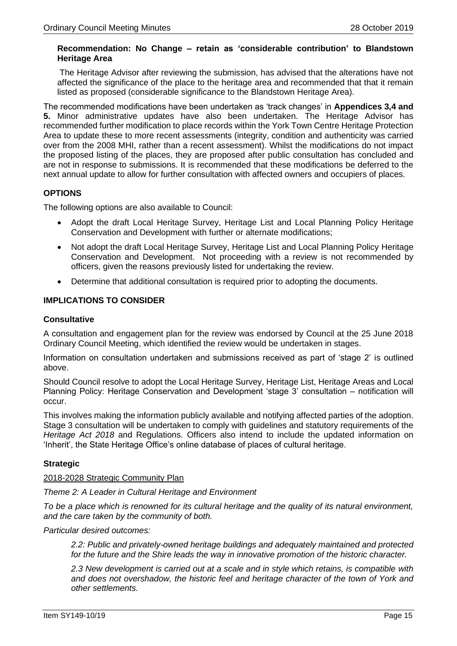#### **Recommendation: No Change – retain as 'considerable contribution' to Blandstown Heritage Area**

The Heritage Advisor after reviewing the submission, has advised that the alterations have not affected the significance of the place to the heritage area and recommended that that it remain listed as proposed (considerable significance to the Blandstown Heritage Area).

The recommended modifications have been undertaken as 'track changes' in **Appendices 3,4 and 5.** Minor administrative updates have also been undertaken. The Heritage Advisor has recommended further modification to place records within the York Town Centre Heritage Protection Area to update these to more recent assessments (integrity, condition and authenticity was carried over from the 2008 MHI, rather than a recent assessment). Whilst the modifications do not impact the proposed listing of the places, they are proposed after public consultation has concluded and are not in response to submissions. It is recommended that these modifications be deferred to the next annual update to allow for further consultation with affected owners and occupiers of places.

#### **OPTIONS**

The following options are also available to Council:

- Adopt the draft Local Heritage Survey, Heritage List and Local Planning Policy Heritage Conservation and Development with further or alternate modifications;
- Not adopt the draft Local Heritage Survey, Heritage List and Local Planning Policy Heritage Conservation and Development. Not proceeding with a review is not recommended by officers, given the reasons previously listed for undertaking the review.
- Determine that additional consultation is required prior to adopting the documents.

#### **IMPLICATIONS TO CONSIDER**

#### **Consultative**

A consultation and engagement plan for the review was endorsed by Council at the 25 June 2018 Ordinary Council Meeting, which identified the review would be undertaken in stages.

Information on consultation undertaken and submissions received as part of 'stage 2' is outlined above.

Should Council resolve to adopt the Local Heritage Survey, Heritage List, Heritage Areas and Local Planning Policy: Heritage Conservation and Development 'stage 3' consultation – notification will occur.

This involves making the information publicly available and notifying affected parties of the adoption. Stage 3 consultation will be undertaken to comply with guidelines and statutory requirements of the *Heritage Act 2018* and Regulations. Officers also intend to include the updated information on 'Inherit', the State Heritage Office's online database of places of cultural heritage.

#### **Strategic**

#### 2018-2028 Strategic Community Plan

*Theme 2: A Leader in Cultural Heritage and Environment*

*To be a place which is renowned for its cultural heritage and the quality of its natural environment, and the care taken by the community of both.* 

#### *Particular desired outcomes:*

*2.2: Public and privately-owned heritage buildings and adequately maintained and protected for the future and the Shire leads the way in innovative promotion of the historic character.* 

*2.3 New development is carried out at a scale and in style which retains, is compatible with and does not overshadow, the historic feel and heritage character of the town of York and other settlements.*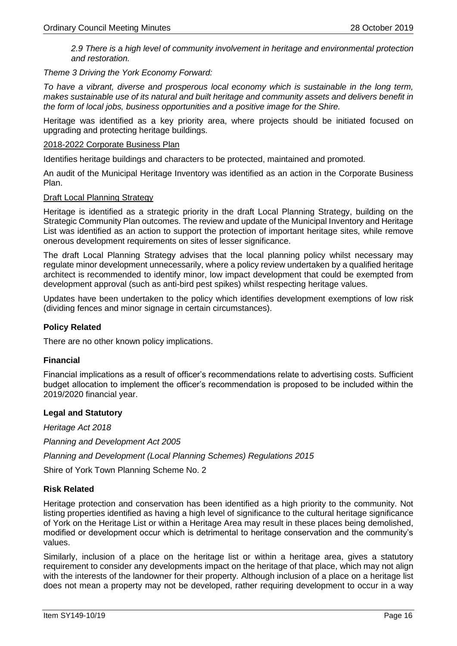*2.9 There is a high level of community involvement in heritage and environmental protection and restoration.*

*Theme 3 Driving the York Economy Forward:* 

*To have a vibrant, diverse and prosperous local economy which is sustainable in the long term, makes sustainable use of its natural and built heritage and community assets and delivers benefit in the form of local jobs, business opportunities and a positive image for the Shire.* 

Heritage was identified as a key priority area, where projects should be initiated focused on upgrading and protecting heritage buildings.

#### 2018-2022 Corporate Business Plan

Identifies heritage buildings and characters to be protected, maintained and promoted.

An audit of the Municipal Heritage Inventory was identified as an action in the Corporate Business Plan.

#### Draft Local Planning Strategy

Heritage is identified as a strategic priority in the draft Local Planning Strategy, building on the Strategic Community Plan outcomes. The review and update of the Municipal Inventory and Heritage List was identified as an action to support the protection of important heritage sites, while remove onerous development requirements on sites of lesser significance.

The draft Local Planning Strategy advises that the local planning policy whilst necessary may regulate minor development unnecessarily, where a policy review undertaken by a qualified heritage architect is recommended to identify minor, low impact development that could be exempted from development approval (such as anti-bird pest spikes) whilst respecting heritage values.

Updates have been undertaken to the policy which identifies development exemptions of low risk (dividing fences and minor signage in certain circumstances).

#### **Policy Related**

There are no other known policy implications.

#### **Financial**

Financial implications as a result of officer's recommendations relate to advertising costs. Sufficient budget allocation to implement the officer's recommendation is proposed to be included within the 2019/2020 financial year.

#### **Legal and Statutory**

*Heritage Act 2018*

*Planning and Development Act 2005*

*Planning and Development (Local Planning Schemes) Regulations 2015*

Shire of York Town Planning Scheme No. 2

#### **Risk Related**

Heritage protection and conservation has been identified as a high priority to the community. Not listing properties identified as having a high level of significance to the cultural heritage significance of York on the Heritage List or within a Heritage Area may result in these places being demolished, modified or development occur which is detrimental to heritage conservation and the community's values.

Similarly, inclusion of a place on the heritage list or within a heritage area, gives a statutory requirement to consider any developments impact on the heritage of that place, which may not align with the interests of the landowner for their property. Although inclusion of a place on a heritage list does not mean a property may not be developed, rather requiring development to occur in a way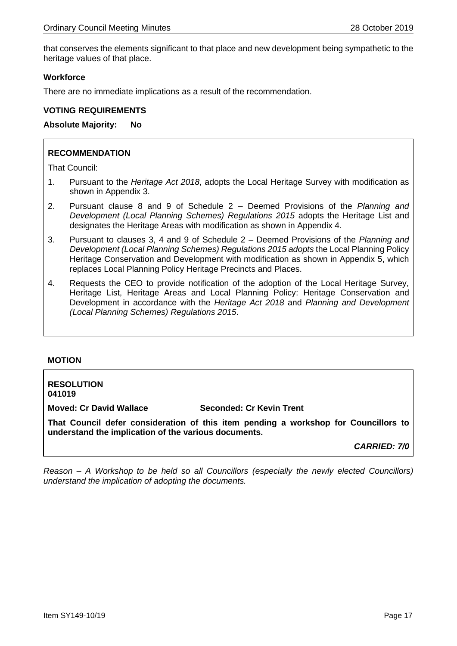that conserves the elements significant to that place and new development being sympathetic to the heritage values of that place.

#### **Workforce**

There are no immediate implications as a result of the recommendation.

#### **VOTING REQUIREMENTS**

**Absolute Majority: No**

#### **RECOMMENDATION**

That Council:

- 1. Pursuant to the *Heritage Act 2018*, adopts the Local Heritage Survey with modification as shown in Appendix 3.
- 2. Pursuant clause 8 and 9 of Schedule 2 Deemed Provisions of the *Planning and Development (Local Planning Schemes) Regulations 2015* adopts the Heritage List and designates the Heritage Areas with modification as shown in Appendix 4.
- 3. Pursuant to clauses 3, 4 and 9 of Schedule 2 Deemed Provisions of the *Planning and Development (Local Planning Schemes) Regulations 2015 adopts* the Local Planning Policy Heritage Conservation and Development with modification as shown in Appendix 5, which replaces Local Planning Policy Heritage Precincts and Places.
- 4. Requests the CEO to provide notification of the adoption of the Local Heritage Survey, Heritage List, Heritage Areas and Local Planning Policy: Heritage Conservation and Development in accordance with the *Heritage Act 2018* and *Planning and Development (Local Planning Schemes) Regulations 2015*.

#### **MOTION**

**RESOLUTION 041019**

**Moved: Cr David Wallace Seconded: Cr Kevin Trent**

**That Council defer consideration of this item pending a workshop for Councillors to understand the implication of the various documents.**

*CARRIED: 7/0*

*Reason – A Workshop to be held so all Councillors (especially the newly elected Councillors) understand the implication of adopting the documents.*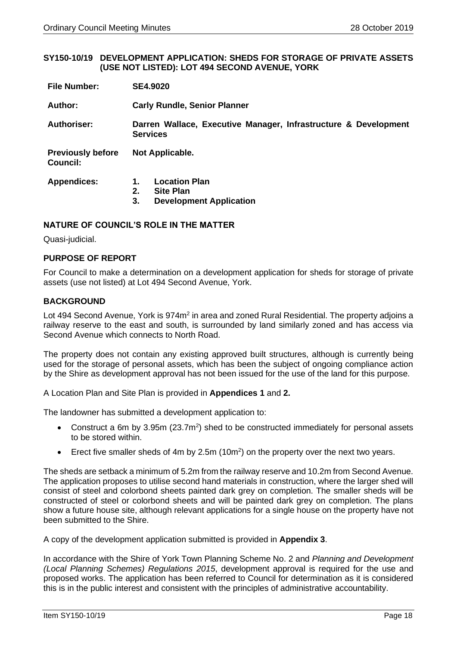#### <span id="page-17-0"></span>**SY150-10/19 DEVELOPMENT APPLICATION: SHEDS FOR STORAGE OF PRIVATE ASSETS (USE NOT LISTED): LOT 494 SECOND AVENUE, YORK**

| <b>File Number:</b>                  | <b>SE4.9020</b>                                                                              |  |  |
|--------------------------------------|----------------------------------------------------------------------------------------------|--|--|
| Author:                              | <b>Carly Rundle, Senior Planner</b>                                                          |  |  |
| <b>Authoriser:</b>                   | Darren Wallace, Executive Manager, Infrastructure & Development<br><b>Services</b>           |  |  |
| <b>Previously before</b><br>Council: | Not Applicable.                                                                              |  |  |
| <b>Appendices:</b>                   | <b>Location Plan</b><br>1.<br>2.<br><b>Site Plan</b><br>3.<br><b>Development Application</b> |  |  |

#### **NATURE OF COUNCIL'S ROLE IN THE MATTER**

Quasi-judicial.

#### **PURPOSE OF REPORT**

For Council to make a determination on a development application for sheds for storage of private assets (use not listed) at Lot 494 Second Avenue, York.

#### **BACKGROUND**

Lot 494 Second Avenue, York is 974m<sup>2</sup> in area and zoned Rural Residential. The property adjoins a railway reserve to the east and south, is surrounded by land similarly zoned and has access via Second Avenue which connects to North Road.

The property does not contain any existing approved built structures, although is currently being used for the storage of personal assets, which has been the subject of ongoing compliance action by the Shire as development approval has not been issued for the use of the land for this purpose.

A Location Plan and Site Plan is provided in **Appendices 1** and **2.**

The landowner has submitted a development application to:

- Construct a 6m by 3.95m ( $23.7m<sup>2</sup>$ ) shed to be constructed immediately for personal assets to be stored within.
- Erect five smaller sheds of 4m by 2.5m (10 $m<sup>2</sup>$ ) on the property over the next two years.

The sheds are setback a minimum of 5.2m from the railway reserve and 10.2m from Second Avenue. The application proposes to utilise second hand materials in construction, where the larger shed will consist of steel and colorbond sheets painted dark grey on completion. The smaller sheds will be constructed of steel or colorbond sheets and will be painted dark grey on completion. The plans show a future house site, although relevant applications for a single house on the property have not been submitted to the Shire.

A copy of the development application submitted is provided in **Appendix 3**.

In accordance with the Shire of York Town Planning Scheme No. 2 and *Planning and Development (Local Planning Schemes) Regulations 2015*, development approval is required for the use and proposed works. The application has been referred to Council for determination as it is considered this is in the public interest and consistent with the principles of administrative accountability.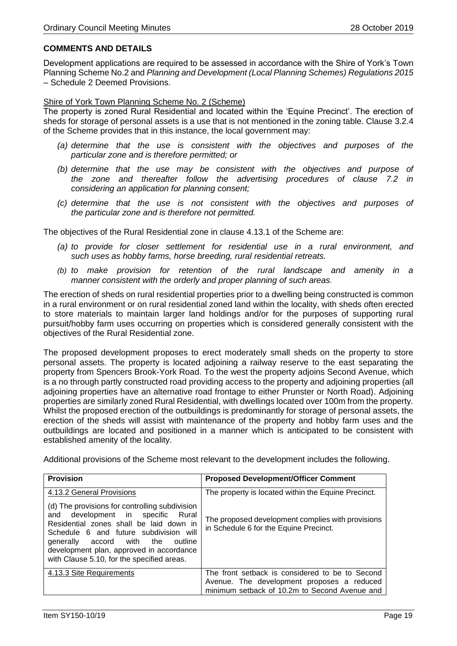### **COMMENTS AND DETAILS**

Development applications are required to be assessed in accordance with the Shire of York's Town Planning Scheme No.2 and *Planning and Development (Local Planning Schemes) Regulations 2015* – Schedule 2 Deemed Provisions.

#### Shire of York Town Planning Scheme No. 2 (Scheme)

The property is zoned Rural Residential and located within the 'Equine Precinct'. The erection of sheds for storage of personal assets is a use that is not mentioned in the zoning table. Clause 3.2.4 of the Scheme provides that in this instance, the local government may:

- *(a) determine that the use is consistent with the objectives and purposes of the particular zone and is therefore permitted; or*
- *(b) determine that the use may be consistent with the objectives and purpose of the zone and thereafter follow the advertising procedures of clause 7.2 in considering an application for planning consent;*
- *(c) determine that the use is not consistent with the objectives and purposes of the particular zone and is therefore not permitted.*

The objectives of the Rural Residential zone in clause 4.13.1 of the Scheme are:

- *(a) to provide for closer settlement for residential use in a rural environment, and such uses as hobby farms, horse breeding, rural residential retreats.*
- *(b) to make provision for retention of the rural landscape and amenity in a manner consistent with the orderly and proper planning of such areas.*

The erection of sheds on rural residential properties prior to a dwelling being constructed is common in a rural environment or on rural residential zoned land within the locality, with sheds often erected to store materials to maintain larger land holdings and/or for the purposes of supporting rural pursuit/hobby farm uses occurring on properties which is considered generally consistent with the objectives of the Rural Residential zone.

The proposed development proposes to erect moderately small sheds on the property to store personal assets. The property is located adjoining a railway reserve to the east separating the property from Spencers Brook-York Road. To the west the property adjoins Second Avenue, which is a no through partly constructed road providing access to the property and adjoining properties (all adjoining properties have an alternative road frontage to either Prunster or North Road). Adjoining properties are similarly zoned Rural Residential, with dwellings located over 100m from the property. Whilst the proposed erection of the outbuildings is predominantly for storage of personal assets, the erection of the sheds will assist with maintenance of the property and hobby farm uses and the outbuildings are located and positioned in a manner which is anticipated to be consistent with established amenity of the locality.

Additional provisions of the Scheme most relevant to the development includes the following.

| <b>Provision</b>                                                                                                                                                                                                                                                                                              | <b>Proposed Development/Officer Comment</b>                                                 |  |
|---------------------------------------------------------------------------------------------------------------------------------------------------------------------------------------------------------------------------------------------------------------------------------------------------------------|---------------------------------------------------------------------------------------------|--|
| 4.13.2 General Provisions                                                                                                                                                                                                                                                                                     | The property is located within the Equine Precinct.                                         |  |
| (d) The provisions for controlling subdivision<br>and development in specific<br>Rural<br>Residential zones shall be laid down in<br>Schedule 6 and future subdivision will<br>generally accord with the<br>outline<br>development plan, approved in accordance<br>with Clause 5.10, for the specified areas. | The proposed development complies with provisions<br>in Schedule 6 for the Equine Precinct. |  |
| 4.13.3 Site Requirements                                                                                                                                                                                                                                                                                      | The front setback is considered to be to Second                                             |  |
|                                                                                                                                                                                                                                                                                                               | Avenue. The development proposes a reduced<br>minimum setback of 10.2m to Second Avenue and |  |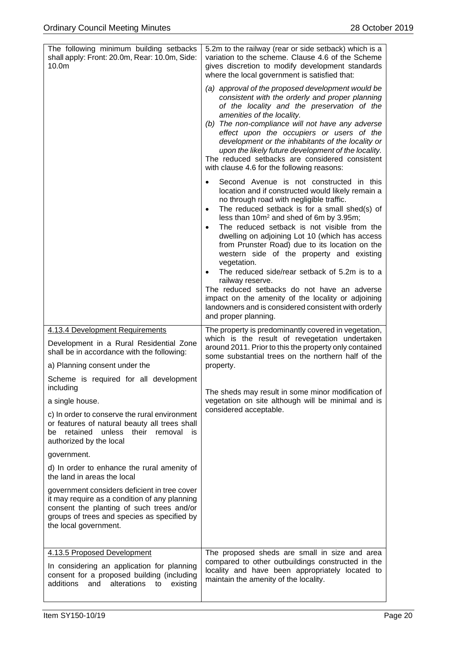| The following minimum building setbacks<br>shall apply: Front: 20.0m, Rear: 10.0m, Side:<br>10.0 <sub>m</sub>                                                                                                      | 5.2m to the railway (rear or side setback) which is a<br>variation to the scheme. Clause 4.6 of the Scheme<br>gives discretion to modify development standards<br>where the local government is satisfied that:<br>(a) approval of the proposed development would be<br>consistent with the orderly and proper planning<br>of the locality and the preservation of the<br>amenities of the locality.<br>(b) The non-compliance will not have any adverse<br>effect upon the occupiers or users of the<br>development or the inhabitants of the locality or<br>upon the likely future development of the locality.<br>The reduced setbacks are considered consistent<br>with clause 4.6 for the following reasons:<br>Second Avenue is not constructed in this<br>$\bullet$<br>location and if constructed would likely remain a<br>no through road with negligible traffic.<br>The reduced setback is for a small shed(s) of<br>$\bullet$<br>less than 10m <sup>2</sup> and shed of 6m by 3.95m;<br>The reduced setback is not visible from the<br>$\bullet$<br>dwelling on adjoining Lot 10 (which has access<br>from Prunster Road) due to its location on the<br>western side of the property and existing<br>vegetation.<br>The reduced side/rear setback of 5.2m is to a<br>٠<br>railway reserve.<br>The reduced setbacks do not have an adverse<br>impact on the amenity of the locality or adjoining<br>landowners and is considered consistent with orderly<br>and proper planning. |  |
|--------------------------------------------------------------------------------------------------------------------------------------------------------------------------------------------------------------------|---------------------------------------------------------------------------------------------------------------------------------------------------------------------------------------------------------------------------------------------------------------------------------------------------------------------------------------------------------------------------------------------------------------------------------------------------------------------------------------------------------------------------------------------------------------------------------------------------------------------------------------------------------------------------------------------------------------------------------------------------------------------------------------------------------------------------------------------------------------------------------------------------------------------------------------------------------------------------------------------------------------------------------------------------------------------------------------------------------------------------------------------------------------------------------------------------------------------------------------------------------------------------------------------------------------------------------------------------------------------------------------------------------------------------------------------------------------------------------------------|--|
| 4.13.4 Development Requirements<br>Development in a Rural Residential Zone<br>shall be in accordance with the following:<br>a) Planning consent under the                                                          | The property is predominantly covered in vegetation,<br>which is the result of revegetation undertaken<br>around 2011. Prior to this the property only contained<br>some substantial trees on the northern half of the<br>property.                                                                                                                                                                                                                                                                                                                                                                                                                                                                                                                                                                                                                                                                                                                                                                                                                                                                                                                                                                                                                                                                                                                                                                                                                                                         |  |
| Scheme is required for all development<br>including                                                                                                                                                                | The sheds may result in some minor modification of                                                                                                                                                                                                                                                                                                                                                                                                                                                                                                                                                                                                                                                                                                                                                                                                                                                                                                                                                                                                                                                                                                                                                                                                                                                                                                                                                                                                                                          |  |
| a single house.                                                                                                                                                                                                    | vegetation on site although will be minimal and is<br>considered acceptable.                                                                                                                                                                                                                                                                                                                                                                                                                                                                                                                                                                                                                                                                                                                                                                                                                                                                                                                                                                                                                                                                                                                                                                                                                                                                                                                                                                                                                |  |
| c) In order to conserve the rural environment<br>or features of natural beauty all trees shall<br>retained<br>unless<br>their<br>removal<br>be<br>is<br>authorized by the local                                    |                                                                                                                                                                                                                                                                                                                                                                                                                                                                                                                                                                                                                                                                                                                                                                                                                                                                                                                                                                                                                                                                                                                                                                                                                                                                                                                                                                                                                                                                                             |  |
| government.                                                                                                                                                                                                        |                                                                                                                                                                                                                                                                                                                                                                                                                                                                                                                                                                                                                                                                                                                                                                                                                                                                                                                                                                                                                                                                                                                                                                                                                                                                                                                                                                                                                                                                                             |  |
| d) In order to enhance the rural amenity of<br>the land in areas the local                                                                                                                                         |                                                                                                                                                                                                                                                                                                                                                                                                                                                                                                                                                                                                                                                                                                                                                                                                                                                                                                                                                                                                                                                                                                                                                                                                                                                                                                                                                                                                                                                                                             |  |
| government considers deficient in tree cover<br>it may require as a condition of any planning<br>consent the planting of such trees and/or<br>groups of trees and species as specified by<br>the local government. |                                                                                                                                                                                                                                                                                                                                                                                                                                                                                                                                                                                                                                                                                                                                                                                                                                                                                                                                                                                                                                                                                                                                                                                                                                                                                                                                                                                                                                                                                             |  |
| 4.13.5 Proposed Development<br>In considering an application for planning<br>consent for a proposed building (including<br>additions<br>alterations to<br>and<br>existing                                          | The proposed sheds are small in size and area<br>compared to other outbuildings constructed in the<br>locality and have been appropriately located to<br>maintain the amenity of the locality.                                                                                                                                                                                                                                                                                                                                                                                                                                                                                                                                                                                                                                                                                                                                                                                                                                                                                                                                                                                                                                                                                                                                                                                                                                                                                              |  |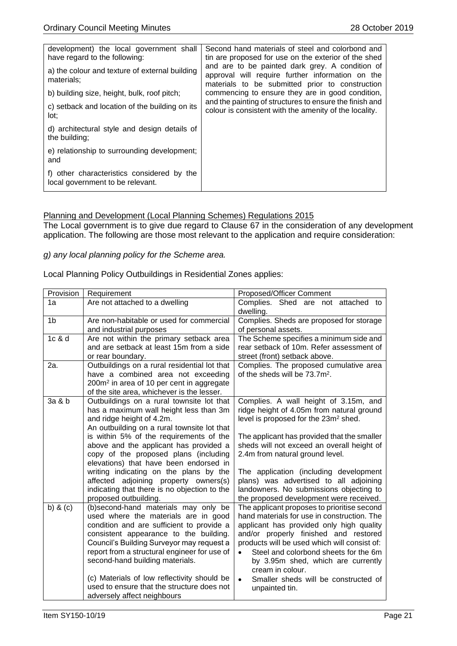| development) the local government shall                                        | Second hand materials of steel and colorbond and                                                                                                       |
|--------------------------------------------------------------------------------|--------------------------------------------------------------------------------------------------------------------------------------------------------|
| have regard to the following:                                                  | tin are proposed for use on the exterior of the shed                                                                                                   |
| a) the colour and texture of external building<br>materials:                   | and are to be painted dark grey. A condition of<br>approval will require further information on the<br>materials to be submitted prior to construction |
| b) building size, height, bulk, roof pitch;                                    | commencing to ensure they are in good condition,                                                                                                       |
| c) setback and location of the building on its<br>lot:                         | and the painting of structures to ensure the finish and<br>colour is consistent with the amenity of the locality.                                      |
| d) architectural style and design details of<br>the building;                  |                                                                                                                                                        |
| e) relationship to surrounding development;<br>and                             |                                                                                                                                                        |
| f) other characteristics considered by the<br>local government to be relevant. |                                                                                                                                                        |

#### Planning and Development (Local Planning Schemes) Regulations 2015

The Local government is to give due regard to Clause 67 in the consideration of any development application. The following are those most relevant to the application and require consideration:

#### *g) any local planning policy for the Scheme area.*

#### Local Planning Policy Outbuildings in Residential Zones applies:

| Provision      | Requirement                                                                             | Proposed/Officer Comment                                                              |
|----------------|-----------------------------------------------------------------------------------------|---------------------------------------------------------------------------------------|
| 1a             | Are not attached to a dwelling                                                          | Complies. Shed are not attached to<br>dwelling.                                       |
| 1 <sub>b</sub> | Are non-habitable or used for commercial                                                | Complies. Sheds are proposed for storage                                              |
|                | and industrial purposes                                                                 | of personal assets.                                                                   |
| 1c & d         | Are not within the primary setback area                                                 | The Scheme specifies a minimum side and                                               |
|                | and are setback at least 15m from a side                                                | rear setback of 10m. Refer assessment of                                              |
|                | or rear boundary.                                                                       | street (front) setback above.                                                         |
| 2a.            | Outbuildings on a rural residential lot that                                            | Complies. The proposed cumulative area                                                |
|                | have a combined area not exceeding                                                      | of the sheds will be 73.7m <sup>2</sup> .                                             |
|                | 200m <sup>2</sup> in area of 10 per cent in aggregate                                   |                                                                                       |
| 3a & b         | of the site area, whichever is the lesser.<br>Outbuildings on a rural townsite lot that | Complies. A wall height of 3.15m, and                                                 |
|                | has a maximum wall height less than 3m                                                  | ridge height of 4.05m from natural ground                                             |
|                | and ridge height of 4.2m.                                                               | level is proposed for the 23m <sup>2</sup> shed.                                      |
|                | An outbuilding on a rural townsite lot that                                             |                                                                                       |
|                | is within 5% of the requirements of the                                                 | The applicant has provided that the smaller                                           |
|                | above and the applicant has provided a                                                  | sheds will not exceed an overall height of                                            |
|                | copy of the proposed plans (including                                                   | 2.4m from natural ground level.                                                       |
|                | elevations) that have been endorsed in                                                  |                                                                                       |
|                | writing indicating on the plans by the                                                  | The application (including development                                                |
|                | affected adjoining property owners(s)                                                   | plans) was advertised to all adjoining                                                |
|                | indicating that there is no objection to the                                            | landowners. No submissions objecting to                                               |
|                | proposed outbuilding.                                                                   | the proposed development were received.                                               |
| b) $&$ (c)     | (b)second-hand materials may only be                                                    | The applicant proposes to prioritise second                                           |
|                | used where the materials are in good                                                    | hand materials for use in construction. The                                           |
|                | condition and are sufficient to provide a                                               | applicant has provided only high quality                                              |
|                | consistent appearance to the building.<br>Council's Building Surveyor may request a     | and/or properly finished and restored<br>products will be used which will consist of: |
|                | report from a structural engineer for use of                                            | Steel and colorbond sheets for the 6m                                                 |
|                | second-hand building materials.                                                         | by 3.95m shed, which are currently                                                    |
|                |                                                                                         | cream in colour.                                                                      |
|                | (c) Materials of low reflectivity should be                                             | Smaller sheds will be constructed of<br>$\bullet$                                     |
|                | used to ensure that the structure does not                                              | unpainted tin.                                                                        |
|                | adversely affect neighbours                                                             |                                                                                       |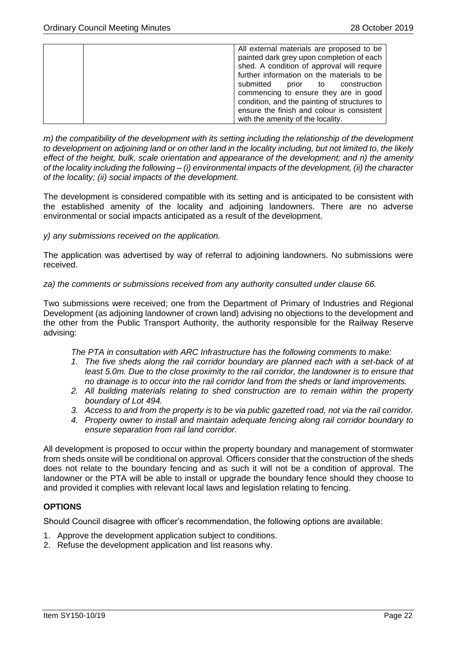| All external materials are proposed to be    |  |  |
|----------------------------------------------|--|--|
| painted dark grey upon completion of each    |  |  |
|                                              |  |  |
| shed. A condition of approval will require   |  |  |
| further information on the materials to be   |  |  |
| submitted<br>prior to construction           |  |  |
| commencing to ensure they are in good        |  |  |
| condition, and the painting of structures to |  |  |
| ensure the finish and colour is consistent   |  |  |
| with the amenity of the locality.            |  |  |

*m) the compatibility of the development with its setting including the relationship of the development to development on adjoining land or on other land in the locality including, but not limited to, the likely effect of the height, bulk, scale orientation and appearance of the development; and n) the amenity of the locality including the following – (i) environmental impacts of the development, (ii) the character of the locality; (ii) social impacts of the development.*

The development is considered compatible with its setting and is anticipated to be consistent with the established amenity of the locality and adjoining landowners. There are no adverse environmental or social impacts anticipated as a result of the development.

#### *y) any submissions received on the application.*

The application was advertised by way of referral to adjoining landowners. No submissions were received.

#### *za) the comments or submissions received from any authority consulted under clause 66.*

Two submissions were received; one from the Department of Primary of Industries and Regional Development (as adjoining landowner of crown land) advising no objections to the development and the other from the Public Transport Authority, the authority responsible for the Railway Reserve advising:

*The PTA in consultation with ARC Infrastructure has the following comments to make:*

- *1. The five sheds along the rail corridor boundary are planned each with a set-back of at least 5.0m. Due to the close proximity to the rail corridor, the landowner is to ensure that no drainage is to occur into the rail corridor land from the sheds or land improvements.*
- *2. All building materials relating to shed construction are to remain within the property boundary of Lot 494.*
- *3. Access to and from the property is to be via public gazetted road, not via the rail corridor.*
- *4. Property owner to install and maintain adequate fencing along rail corridor boundary to ensure separation from rail land corridor.*

All development is proposed to occur within the property boundary and management of stormwater from sheds onsite will be conditional on approval. Officers consider that the construction of the sheds does not relate to the boundary fencing and as such it will not be a condition of approval. The landowner or the PTA will be able to install or upgrade the boundary fence should they choose to and provided it complies with relevant local laws and legislation relating to fencing.

#### **OPTIONS**

Should Council disagree with officer's recommendation, the following options are available:

- 1. Approve the development application subject to conditions.
- 2. Refuse the development application and list reasons why.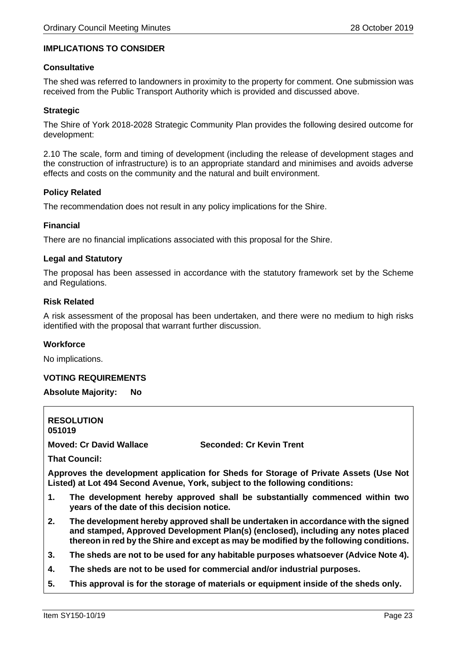#### **IMPLICATIONS TO CONSIDER**

#### **Consultative**

The shed was referred to landowners in proximity to the property for comment. One submission was received from the Public Transport Authority which is provided and discussed above.

#### **Strategic**

The Shire of York 2018-2028 Strategic Community Plan provides the following desired outcome for development:

2.10 The scale, form and timing of development (including the release of development stages and the construction of infrastructure) is to an appropriate standard and minimises and avoids adverse effects and costs on the community and the natural and built environment.

#### **Policy Related**

The recommendation does not result in any policy implications for the Shire.

#### **Financial**

There are no financial implications associated with this proposal for the Shire.

#### **Legal and Statutory**

The proposal has been assessed in accordance with the statutory framework set by the Scheme and Regulations.

#### **Risk Related**

A risk assessment of the proposal has been undertaken, and there were no medium to high risks identified with the proposal that warrant further discussion.

#### **Workforce**

No implications.

#### **VOTING REQUIREMENTS**

#### **Absolute Majority: No**

**RESOLUTION 051019 Moved: Cr David Wallace Seconded: Cr Kevin Trent That Council: Approves the development application for Sheds for Storage of Private Assets (Use Not Listed) at Lot 494 Second Avenue, York, subject to the following conditions: 1. The development hereby approved shall be substantially commenced within two years of the date of this decision notice. 2. The development hereby approved shall be undertaken in accordance with the signed and stamped, Approved Development Plan(s) (enclosed), including any notes placed thereon in red by the Shire and except as may be modified by the following conditions. 3. The sheds are not to be used for any habitable purposes whatsoever (Advice Note 4).**

- **4. The sheds are not to be used for commercial and/or industrial purposes.**
- **5. This approval is for the storage of materials or equipment inside of the sheds only.**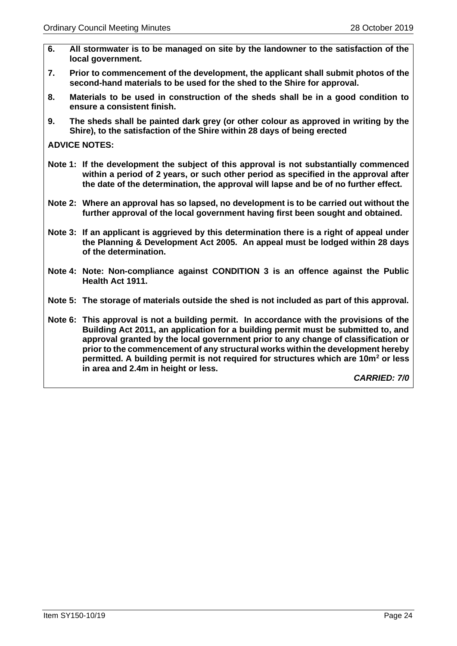- **6. All stormwater is to be managed on site by the landowner to the satisfaction of the local government.**
- **7. Prior to commencement of the development, the applicant shall submit photos of the second-hand materials to be used for the shed to the Shire for approval.**
- **8. Materials to be used in construction of the sheds shall be in a good condition to ensure a consistent finish.**
- **9. The sheds shall be painted dark grey (or other colour as approved in writing by the Shire), to the satisfaction of the Shire within 28 days of being erected**

**ADVICE NOTES:**

- **Note 1: If the development the subject of this approval is not substantially commenced within a period of 2 years, or such other period as specified in the approval after the date of the determination, the approval will lapse and be of no further effect.**
- **Note 2: Where an approval has so lapsed, no development is to be carried out without the further approval of the local government having first been sought and obtained.**
- **Note 3: If an applicant is aggrieved by this determination there is a right of appeal under the Planning & Development Act 2005. An appeal must be lodged within 28 days of the determination.**
- **Note 4: Note: Non-compliance against CONDITION 3 is an offence against the Public Health Act 1911.**
- **Note 5: The storage of materials outside the shed is not included as part of this approval.**
- **Note 6: This approval is not a building permit. In accordance with the provisions of the Building Act 2011, an application for a building permit must be submitted to, and approval granted by the local government prior to any change of classification or prior to the commencement of any structural works within the development hereby permitted. A building permit is not required for structures which are 10m<sup>2</sup> or less in area and 2.4m in height or less.**

*CARRIED: 7/0*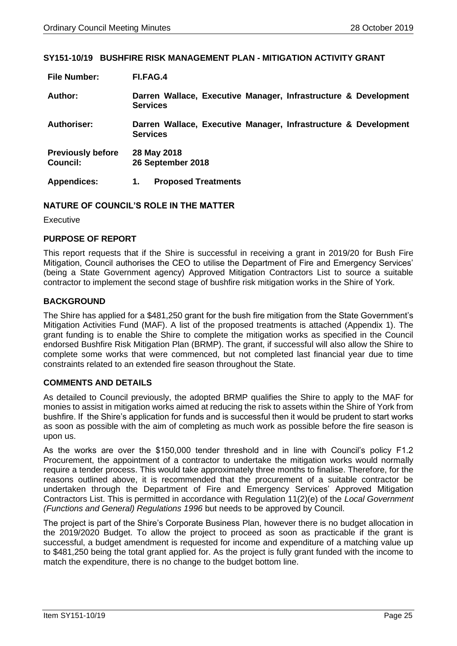#### <span id="page-24-0"></span>**SY151-10/19 BUSHFIRE RISK MANAGEMENT PLAN - MITIGATION ACTIVITY GRANT**

| <b>File Number:</b>                         | FI.FAG.4                                                                           |
|---------------------------------------------|------------------------------------------------------------------------------------|
| Author:                                     | Darren Wallace, Executive Manager, Infrastructure & Development<br><b>Services</b> |
| <b>Authoriser:</b>                          | Darren Wallace, Executive Manager, Infrastructure & Development<br><b>Services</b> |
| <b>Previously before</b><br><b>Council:</b> | 28 May 2018<br>26 September 2018                                                   |
| <b>Appendices:</b>                          | <b>Proposed Treatments</b><br>1.                                                   |

#### **NATURE OF COUNCIL'S ROLE IN THE MATTER**

Executive

#### **PURPOSE OF REPORT**

This report requests that if the Shire is successful in receiving a grant in 2019/20 for Bush Fire Mitigation, Council authorises the CEO to utilise the Department of Fire and Emergency Services' (being a State Government agency) Approved Mitigation Contractors List to source a suitable contractor to implement the second stage of bushfire risk mitigation works in the Shire of York.

#### **BACKGROUND**

The Shire has applied for a \$481,250 grant for the bush fire mitigation from the State Government's Mitigation Activities Fund (MAF). A list of the proposed treatments is attached (Appendix 1). The grant funding is to enable the Shire to complete the mitigation works as specified in the Council endorsed Bushfire Risk Mitigation Plan (BRMP). The grant, if successful will also allow the Shire to complete some works that were commenced, but not completed last financial year due to time constraints related to an extended fire season throughout the State.

#### **COMMENTS AND DETAILS**

As detailed to Council previously, the adopted BRMP qualifies the Shire to apply to the MAF for monies to assist in mitigation works aimed at reducing the risk to assets within the Shire of York from bushfire. If the Shire's application for funds and is successful then it would be prudent to start works as soon as possible with the aim of completing as much work as possible before the fire season is upon us.

As the works are over the \$150,000 tender threshold and in line with Council's policy F1.2 Procurement, the appointment of a contractor to undertake the mitigation works would normally require a tender process. This would take approximately three months to finalise. Therefore, for the reasons outlined above, it is recommended that the procurement of a suitable contractor be undertaken through the Department of Fire and Emergency Services' Approved Mitigation Contractors List. This is permitted in accordance with Regulation 11(2)(e) of the *Local Government (Functions and General) Regulations 1996* but needs to be approved by Council.

The project is part of the Shire's Corporate Business Plan, however there is no budget allocation in the 2019/2020 Budget. To allow the project to proceed as soon as practicable if the grant is successful, a budget amendment is requested for income and expenditure of a matching value up to \$481,250 being the total grant applied for. As the project is fully grant funded with the income to match the expenditure, there is no change to the budget bottom line.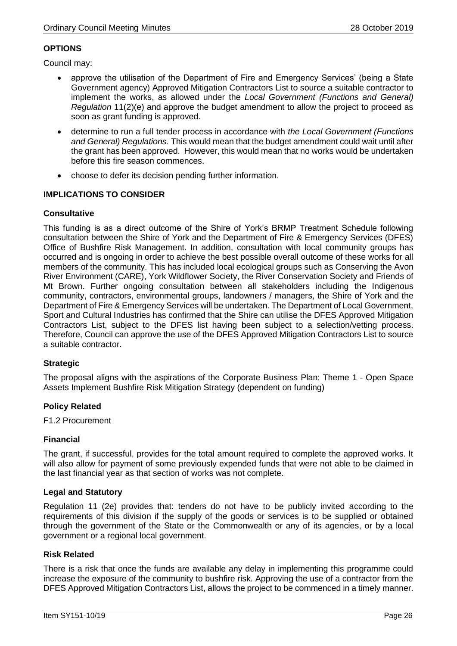#### **OPTIONS**

Council may:

- approve the utilisation of the Department of Fire and Emergency Services' (being a State Government agency) Approved Mitigation Contractors List to source a suitable contractor to implement the works, as allowed under the *Local Government (Functions and General) Regulation* 11(2)(e) and approve the budget amendment to allow the project to proceed as soon as grant funding is approved.
- determine to run a full tender process in accordance with *the Local Government (Functions and General) Regulations.* This would mean that the budget amendment could wait until after the grant has been approved. However, this would mean that no works would be undertaken before this fire season commences.
- choose to defer its decision pending further information.

#### **IMPLICATIONS TO CONSIDER**

#### **Consultative**

This funding is as a direct outcome of the Shire of York's BRMP Treatment Schedule following consultation between the Shire of York and the Department of Fire & Emergency Services (DFES) Office of Bushfire Risk Management. In addition, consultation with local community groups has occurred and is ongoing in order to achieve the best possible overall outcome of these works for all members of the community. This has included local ecological groups such as Conserving the Avon River Environment (CARE), York Wildflower Society, the River Conservation Society and Friends of Mt Brown. Further ongoing consultation between all stakeholders including the Indigenous community, contractors, environmental groups, landowners / managers, the Shire of York and the Department of Fire & Emergency Services will be undertaken. The Department of Local Government, Sport and Cultural Industries has confirmed that the Shire can utilise the DFES Approved Mitigation Contractors List, subject to the DFES list having been subject to a selection/vetting process. Therefore, Council can approve the use of the DFES Approved Mitigation Contractors List to source a suitable contractor.

#### **Strategic**

The proposal aligns with the aspirations of the Corporate Business Plan: Theme 1 - Open Space Assets Implement Bushfire Risk Mitigation Strategy (dependent on funding)

#### **Policy Related**

F1.2 Procurement

#### **Financial**

The grant, if successful, provides for the total amount required to complete the approved works. It will also allow for payment of some previously expended funds that were not able to be claimed in the last financial year as that section of works was not complete.

#### **Legal and Statutory**

Regulation 11 (2e) provides that: tenders do not have to be publicly invited according to the requirements of this division if the supply of the goods or services is to be supplied or obtained through the government of the State or the Commonwealth or any of its agencies, or by a local government or a regional local government.

#### **Risk Related**

There is a risk that once the funds are available any delay in implementing this programme could increase the exposure of the community to bushfire risk. Approving the use of a contractor from the DFES Approved Mitigation Contractors List, allows the project to be commenced in a timely manner.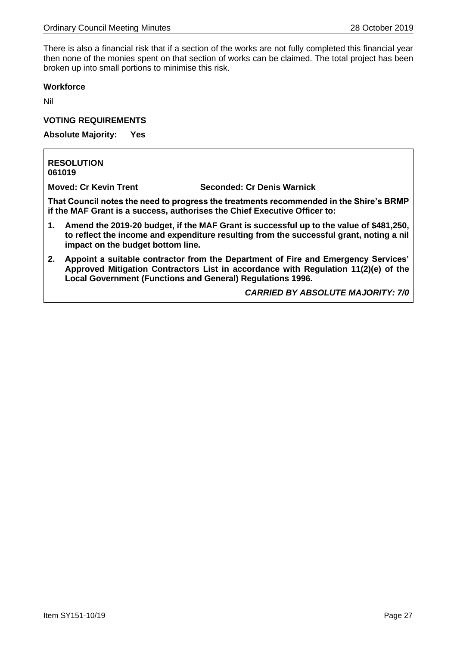There is also a financial risk that if a section of the works are not fully completed this financial year then none of the monies spent on that section of works can be claimed. The total project has been broken up into small portions to minimise this risk.

#### **Workforce**

Nil

#### **VOTING REQUIREMENTS**

**Absolute Majority: Yes** 

#### **RESOLUTION 061019**

**Moved: Cr Kevin Trent Seconded: Cr Denis Warnick**

**That Council notes the need to progress the treatments recommended in the Shire's BRMP if the MAF Grant is a success, authorises the Chief Executive Officer to:** 

- **1. Amend the 2019-20 budget, if the MAF Grant is successful up to the value of \$481,250, to reflect the income and expenditure resulting from the successful grant, noting a nil impact on the budget bottom line.**
- **2. Appoint a suitable contractor from the Department of Fire and Emergency Services' Approved Mitigation Contractors List in accordance with Regulation 11(2)(e) of the Local Government (Functions and General) Regulations 1996.**

*CARRIED BY ABSOLUTE MAJORITY: 7/0*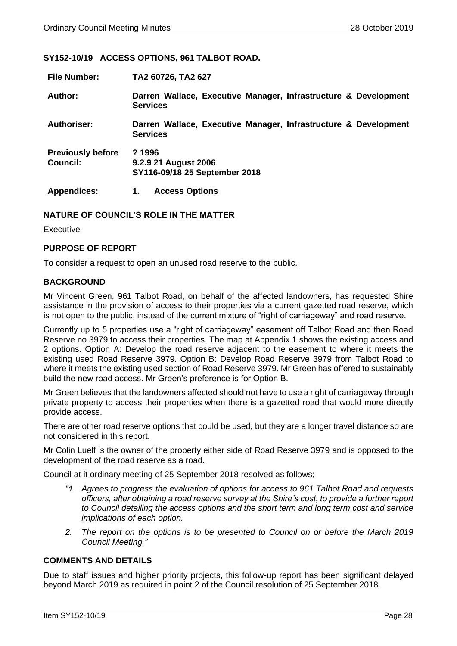#### <span id="page-27-0"></span>**SY152-10/19 ACCESS OPTIONS, 961 TALBOT ROAD.**

| <b>File Number:</b>                  | TA2 60726, TA2 627                                                                 |
|--------------------------------------|------------------------------------------------------------------------------------|
| Author:                              | Darren Wallace, Executive Manager, Infrastructure & Development<br><b>Services</b> |
| <b>Authoriser:</b>                   | Darren Wallace, Executive Manager, Infrastructure & Development<br><b>Services</b> |
| <b>Previously before</b><br>Council: | ?1996<br>9.2.9 21 August 2006<br>SY116-09/18 25 September 2018                     |
| <b>Appendices:</b>                   | <b>Access Options</b><br>1.                                                        |

#### **NATURE OF COUNCIL'S ROLE IN THE MATTER**

Executive

#### **PURPOSE OF REPORT**

To consider a request to open an unused road reserve to the public.

#### **BACKGROUND**

Mr Vincent Green, 961 Talbot Road, on behalf of the affected landowners, has requested Shire assistance in the provision of access to their properties via a current gazetted road reserve, which is not open to the public, instead of the current mixture of "right of carriageway" and road reserve.

Currently up to 5 properties use a "right of carriageway" easement off Talbot Road and then Road Reserve no 3979 to access their properties. The map at Appendix 1 shows the existing access and 2 options. Option A: Develop the road reserve adjacent to the easement to where it meets the existing used Road Reserve 3979. Option B: Develop Road Reserve 3979 from Talbot Road to where it meets the existing used section of Road Reserve 3979. Mr Green has offered to sustainably build the new road access. Mr Green's preference is for Option B.

Mr Green believes that the landowners affected should not have to use a right of carriageway through private property to access their properties when there is a gazetted road that would more directly provide access.

There are other road reserve options that could be used, but they are a longer travel distance so are not considered in this report.

Mr Colin Luelf is the owner of the property either side of Road Reserve 3979 and is opposed to the development of the road reserve as a road.

Council at it ordinary meeting of 25 September 2018 resolved as follows;

- *"1. Agrees to progress the evaluation of options for access to 961 Talbot Road and requests officers, after obtaining a road reserve survey at the Shire's cost, to provide a further report to Council detailing the access options and the short term and long term cost and service implications of each option.*
- *2. The report on the options is to be presented to Council on or before the March 2019 Council Meeting."*

#### **COMMENTS AND DETAILS**

Due to staff issues and higher priority projects, this follow-up report has been significant delayed beyond March 2019 as required in point 2 of the Council resolution of 25 September 2018.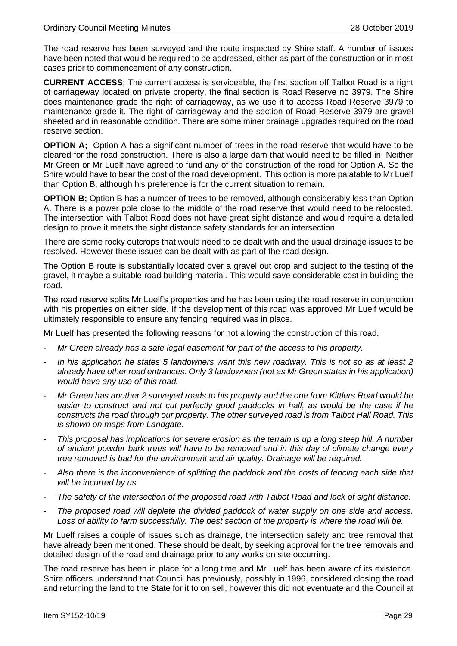The road reserve has been surveyed and the route inspected by Shire staff. A number of issues have been noted that would be required to be addressed, either as part of the construction or in most cases prior to commencement of any construction.

**CURRENT ACCESS**; The current access is serviceable, the first section off Talbot Road is a right of carriageway located on private property, the final section is Road Reserve no 3979. The Shire does maintenance grade the right of carriageway, as we use it to access Road Reserve 3979 to maintenance grade it. The right of carriageway and the section of Road Reserve 3979 are gravel sheeted and in reasonable condition. There are some miner drainage upgrades required on the road reserve section.

**OPTION A**; Option A has a significant number of trees in the road reserve that would have to be cleared for the road construction. There is also a large dam that would need to be filled in. Neither Mr Green or Mr Luelf have agreed to fund any of the construction of the road for Option A. So the Shire would have to bear the cost of the road development. This option is more palatable to Mr Luelf than Option B, although his preference is for the current situation to remain.

**OPTION B**; Option B has a number of trees to be removed, although considerably less than Option A. There is a power pole close to the middle of the road reserve that would need to be relocated. The intersection with Talbot Road does not have great sight distance and would require a detailed design to prove it meets the sight distance safety standards for an intersection.

There are some rocky outcrops that would need to be dealt with and the usual drainage issues to be resolved. However these issues can be dealt with as part of the road design.

The Option B route is substantially located over a gravel out crop and subject to the testing of the gravel, it maybe a suitable road building material. This would save considerable cost in building the road.

The road reserve splits Mr Luelf's properties and he has been using the road reserve in conjunction with his properties on either side. If the development of this road was approved Mr Luelf would be ultimately responsible to ensure any fencing required was in place.

Mr Luelf has presented the following reasons for not allowing the construction of this road.

- *Mr Green already has a safe legal easement for part of the access to his property.*
- *In his application he states 5 landowners want this new roadway. This is not so as at least 2 already have other road entrances. Only 3 landowners (not as Mr Green states in his application) would have any use of this road.*
- *Mr Green has another 2 surveyed roads to his property and the one from Kittlers Road would be easier to construct and not cut perfectly good paddocks in half, as would be the case if he constructs the road through our property. The other surveyed road is from Talbot Hall Road. This is shown on maps from Landgate.*
- *This proposal has implications for severe erosion as the terrain is up a long steep hill. A number of ancient powder bark trees will have to be removed and in this day of climate change every tree removed is bad for the environment and air quality. Drainage will be required.*
- *Also there is the inconvenience of splitting the paddock and the costs of fencing each side that will be incurred by us.*
- *The safety of the intersection of the proposed road with Talbot Road and lack of sight distance.*
- *The proposed road will deplete the divided paddock of water supply on one side and access. Loss of ability to farm successfully. The best section of the property is where the road will be.*

Mr Luelf raises a couple of issues such as drainage, the intersection safety and tree removal that have already been mentioned. These should be dealt, by seeking approval for the tree removals and detailed design of the road and drainage prior to any works on site occurring.

The road reserve has been in place for a long time and Mr Luelf has been aware of its existence. Shire officers understand that Council has previously, possibly in 1996, considered closing the road and returning the land to the State for it to on sell, however this did not eventuate and the Council at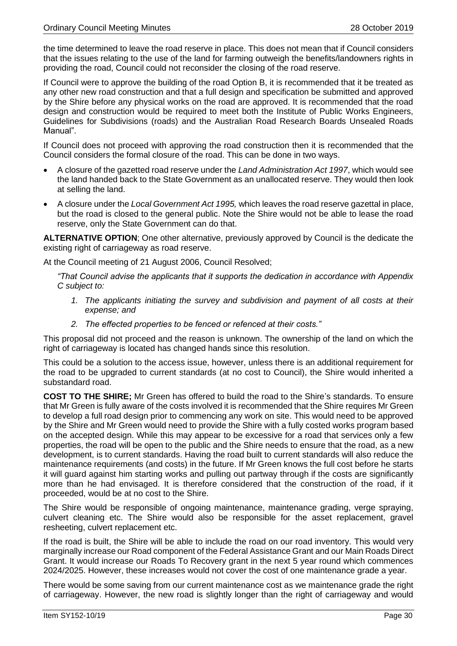the time determined to leave the road reserve in place. This does not mean that if Council considers that the issues relating to the use of the land for farming outweigh the benefits/landowners rights in providing the road, Council could not reconsider the closing of the road reserve.

If Council were to approve the building of the road Option B, it is recommended that it be treated as any other new road construction and that a full design and specification be submitted and approved by the Shire before any physical works on the road are approved. It is recommended that the road design and construction would be required to meet both the Institute of Public Works Engineers, Guidelines for Subdivisions (roads) and the Australian Road Research Boards Unsealed Roads Manual".

If Council does not proceed with approving the road construction then it is recommended that the Council considers the formal closure of the road. This can be done in two ways.

- A closure of the gazetted road reserve under the *Land Administration Act 1997*, which would see the land handed back to the State Government as an unallocated reserve. They would then look at selling the land.
- A closure under the *Local Government Act 1995,* which leaves the road reserve gazettal in place, but the road is closed to the general public. Note the Shire would not be able to lease the road reserve, only the State Government can do that.

**ALTERNATIVE OPTION**; One other alternative, previously approved by Council is the dedicate the existing right of carriageway as road reserve.

At the Council meeting of 21 August 2006, Council Resolved;

*"That Council advise the applicants that it supports the dedication in accordance with Appendix C subject to:*

- *1. The applicants initiating the survey and subdivision and payment of all costs at their expense; and*
- *2. The effected properties to be fenced or refenced at their costs."*

This proposal did not proceed and the reason is unknown. The ownership of the land on which the right of carriageway is located has changed hands since this resolution.

This could be a solution to the access issue, however, unless there is an additional requirement for the road to be upgraded to current standards (at no cost to Council), the Shire would inherited a substandard road.

**COST TO THE SHIRE;** Mr Green has offered to build the road to the Shire's standards. To ensure that Mr Green is fully aware of the costs involved it is recommended that the Shire requires Mr Green to develop a full road design prior to commencing any work on site. This would need to be approved by the Shire and Mr Green would need to provide the Shire with a fully costed works program based on the accepted design. While this may appear to be excessive for a road that services only a few properties, the road will be open to the public and the Shire needs to ensure that the road, as a new development, is to current standards. Having the road built to current standards will also reduce the maintenance requirements (and costs) in the future. If Mr Green knows the full cost before he starts it will guard against him starting works and pulling out partway through if the costs are significantly more than he had envisaged. It is therefore considered that the construction of the road, if it proceeded, would be at no cost to the Shire.

The Shire would be responsible of ongoing maintenance, maintenance grading, verge spraying, culvert cleaning etc. The Shire would also be responsible for the asset replacement, gravel resheeting, culvert replacement etc.

If the road is built, the Shire will be able to include the road on our road inventory. This would very marginally increase our Road component of the Federal Assistance Grant and our Main Roads Direct Grant. It would increase our Roads To Recovery grant in the next 5 year round which commences 2024/2025. However, these increases would not cover the cost of one maintenance grade a year.

There would be some saving from our current maintenance cost as we maintenance grade the right of carriageway. However, the new road is slightly longer than the right of carriageway and would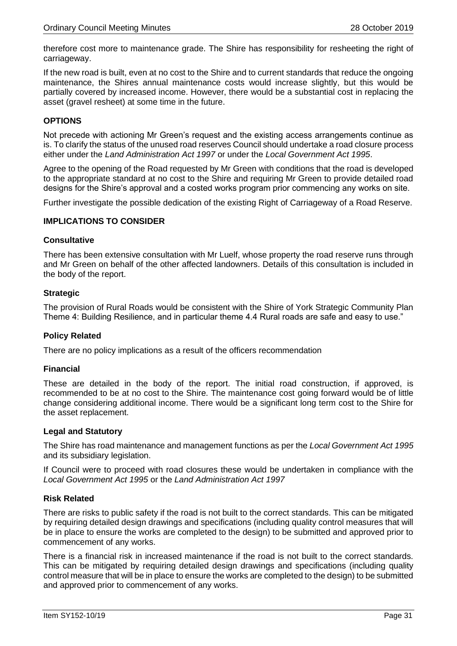therefore cost more to maintenance grade. The Shire has responsibility for resheeting the right of carriageway.

If the new road is built, even at no cost to the Shire and to current standards that reduce the ongoing maintenance, the Shires annual maintenance costs would increase slightly, but this would be partially covered by increased income. However, there would be a substantial cost in replacing the asset (gravel resheet) at some time in the future.

#### **OPTIONS**

Not precede with actioning Mr Green's request and the existing access arrangements continue as is. To clarify the status of the unused road reserves Council should undertake a road closure process either under the *Land Administration Act 1997* or under the *Local Government Act 1995*.

Agree to the opening of the Road requested by Mr Green with conditions that the road is developed to the appropriate standard at no cost to the Shire and requiring Mr Green to provide detailed road designs for the Shire's approval and a costed works program prior commencing any works on site.

Further investigate the possible dedication of the existing Right of Carriageway of a Road Reserve.

#### **IMPLICATIONS TO CONSIDER**

#### **Consultative**

There has been extensive consultation with Mr Luelf, whose property the road reserve runs through and Mr Green on behalf of the other affected landowners. Details of this consultation is included in the body of the report.

#### **Strategic**

The provision of Rural Roads would be consistent with the Shire of York Strategic Community Plan Theme 4: Building Resilience, and in particular theme 4.4 Rural roads are safe and easy to use."

#### **Policy Related**

There are no policy implications as a result of the officers recommendation

#### **Financial**

These are detailed in the body of the report. The initial road construction, if approved, is recommended to be at no cost to the Shire. The maintenance cost going forward would be of little change considering additional income. There would be a significant long term cost to the Shire for the asset replacement.

#### **Legal and Statutory**

The Shire has road maintenance and management functions as per the *Local Government Act 1995* and its subsidiary legislation.

If Council were to proceed with road closures these would be undertaken in compliance with the *Local Government Act 1995* or the *Land Administration Act 1997*

#### **Risk Related**

There are risks to public safety if the road is not built to the correct standards. This can be mitigated by requiring detailed design drawings and specifications (including quality control measures that will be in place to ensure the works are completed to the design) to be submitted and approved prior to commencement of any works.

There is a financial risk in increased maintenance if the road is not built to the correct standards. This can be mitigated by requiring detailed design drawings and specifications (including quality control measure that will be in place to ensure the works are completed to the design) to be submitted and approved prior to commencement of any works.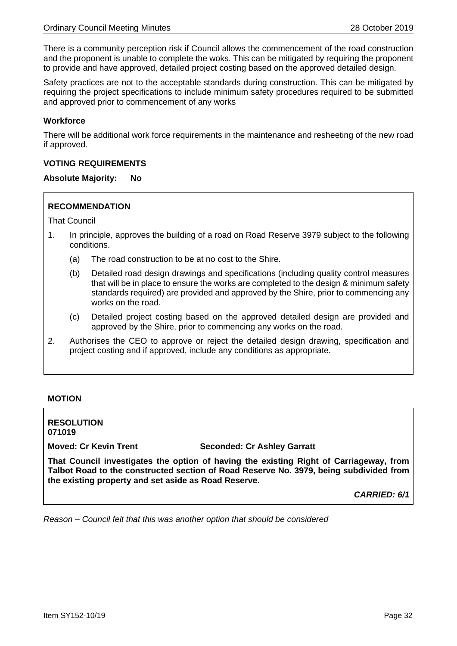There is a community perception risk if Council allows the commencement of the road construction and the proponent is unable to complete the woks. This can be mitigated by requiring the proponent to provide and have approved, detailed project costing based on the approved detailed design.

Safety practices are not to the acceptable standards during construction. This can be mitigated by requiring the project specifications to include minimum safety procedures required to be submitted and approved prior to commencement of any works

#### **Workforce**

There will be additional work force requirements in the maintenance and resheeting of the new road if approved.

#### **VOTING REQUIREMENTS**

#### **Absolute Majority: No**

#### **RECOMMENDATION**

That Council

- 1. In principle, approves the building of a road on Road Reserve 3979 subject to the following conditions.
	- (a) The road construction to be at no cost to the Shire.
	- (b) Detailed road design drawings and specifications (including quality control measures that will be in place to ensure the works are completed to the design & minimum safety standards required) are provided and approved by the Shire, prior to commencing any works on the road.
	- (c) Detailed project costing based on the approved detailed design are provided and approved by the Shire, prior to commencing any works on the road.
- 2. Authorises the CEO to approve or reject the detailed design drawing, specification and project costing and if approved, include any conditions as appropriate.

#### **MOTION**

**RESOLUTION 071019**

**Moved: Cr Kevin Trent Seconded: Cr Ashley Garratt**

**That Council investigates the option of having the existing Right of Carriageway, from Talbot Road to the constructed section of Road Reserve No. 3979, being subdivided from the existing property and set aside as Road Reserve.**

*CARRIED: 6/1*

*Reason – Council felt that this was another option that should be considered*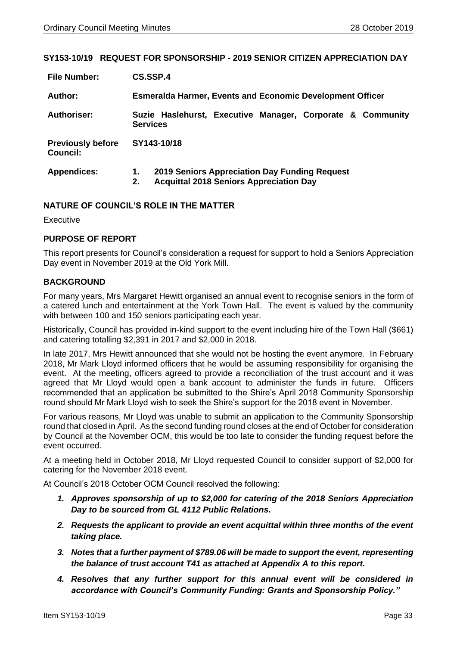#### <span id="page-32-0"></span>**SY153-10/19 REQUEST FOR SPONSORSHIP - 2019 SENIOR CITIZEN APPRECIATION DAY**

| <b>File Number:</b>                         | CS.SSP.4                                                                                                    |  |  |
|---------------------------------------------|-------------------------------------------------------------------------------------------------------------|--|--|
| Author:                                     | <b>Esmeralda Harmer, Events and Economic Development Officer</b>                                            |  |  |
| <b>Authoriser:</b>                          | Suzie Haslehurst, Executive Manager, Corporate & Community<br><b>Services</b>                               |  |  |
| <b>Previously before</b><br><b>Council:</b> | SY143-10/18                                                                                                 |  |  |
| <b>Appendices:</b>                          | 2019 Seniors Appreciation Day Funding Request<br>1.<br><b>Acquittal 2018 Seniors Appreciation Day</b><br>2. |  |  |

#### **NATURE OF COUNCIL'S ROLE IN THE MATTER**

Executive

#### **PURPOSE OF REPORT**

This report presents for Council's consideration a request for support to hold a Seniors Appreciation Day event in November 2019 at the Old York Mill.

#### **BACKGROUND**

For many years, Mrs Margaret Hewitt organised an annual event to recognise seniors in the form of a catered lunch and entertainment at the York Town Hall. The event is valued by the community with between 100 and 150 seniors participating each year.

Historically, Council has provided in-kind support to the event including hire of the Town Hall (\$661) and catering totalling \$2,391 in 2017 and \$2,000 in 2018.

In late 2017, Mrs Hewitt announced that she would not be hosting the event anymore. In February 2018, Mr Mark Lloyd informed officers that he would be assuming responsibility for organising the event. At the meeting, officers agreed to provide a reconciliation of the trust account and it was agreed that Mr Lloyd would open a bank account to administer the funds in future. Officers recommended that an application be submitted to the Shire's April 2018 Community Sponsorship round should Mr Mark Lloyd wish to seek the Shire's support for the 2018 event in November.

For various reasons, Mr Lloyd was unable to submit an application to the Community Sponsorship round that closed in April. As the second funding round closes at the end of October for consideration by Council at the November OCM, this would be too late to consider the funding request before the event occurred.

At a meeting held in October 2018, Mr Lloyd requested Council to consider support of \$2,000 for catering for the November 2018 event.

At Council's 2018 October OCM Council resolved the following:

- *1. Approves sponsorship of up to \$2,000 for catering of the 2018 Seniors Appreciation Day to be sourced from GL 4112 Public Relations.*
- *2. Requests the applicant to provide an event acquittal within three months of the event taking place.*
- *3. Notes that a further payment of \$789.06 will be made to support the event, representing the balance of trust account T41 as attached at Appendix A to this report.*
- *4. Resolves that any further support for this annual event will be considered in accordance with Council's Community Funding: Grants and Sponsorship Policy."*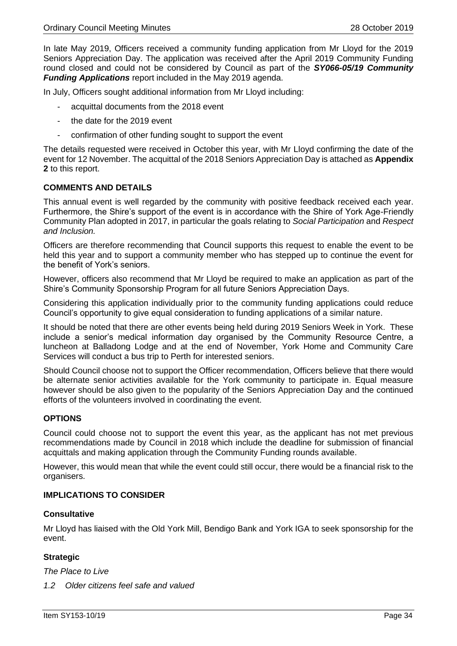In late May 2019, Officers received a community funding application from Mr Lloyd for the 2019 Seniors Appreciation Day. The application was received after the April 2019 Community Funding round closed and could not be considered by Council as part of the *SY066-05/19 Community Funding Applications* report included in the May 2019 agenda.

In July, Officers sought additional information from Mr Lloyd including:

- acquittal documents from the 2018 event
- the date for the 2019 event
- confirmation of other funding sought to support the event

The details requested were received in October this year, with Mr Lloyd confirming the date of the event for 12 November. The acquittal of the 2018 Seniors Appreciation Day is attached as **Appendix 2** to this report.

#### **COMMENTS AND DETAILS**

This annual event is well regarded by the community with positive feedback received each year. Furthermore, the Shire's support of the event is in accordance with the Shire of York Age-Friendly Community Plan adopted in 2017, in particular the goals relating to *Social Participation* and *Respect and Inclusion.*

Officers are therefore recommending that Council supports this request to enable the event to be held this year and to support a community member who has stepped up to continue the event for the benefit of York's seniors.

However, officers also recommend that Mr Lloyd be required to make an application as part of the Shire's Community Sponsorship Program for all future Seniors Appreciation Days.

Considering this application individually prior to the community funding applications could reduce Council's opportunity to give equal consideration to funding applications of a similar nature.

It should be noted that there are other events being held during 2019 Seniors Week in York. These include a senior's medical information day organised by the Community Resource Centre, a luncheon at Balladong Lodge and at the end of November, York Home and Community Care Services will conduct a bus trip to Perth for interested seniors.

Should Council choose not to support the Officer recommendation, Officers believe that there would be alternate senior activities available for the York community to participate in. Equal measure however should be also given to the popularity of the Seniors Appreciation Day and the continued efforts of the volunteers involved in coordinating the event.

#### **OPTIONS**

Council could choose not to support the event this year, as the applicant has not met previous recommendations made by Council in 2018 which include the deadline for submission of financial acquittals and making application through the Community Funding rounds available.

However, this would mean that while the event could still occur, there would be a financial risk to the organisers.

#### **IMPLICATIONS TO CONSIDER**

#### **Consultative**

Mr Lloyd has liaised with the Old York Mill, Bendigo Bank and York IGA to seek sponsorship for the event.

#### **Strategic**

*The Place to Live*

*1.2 Older citizens feel safe and valued*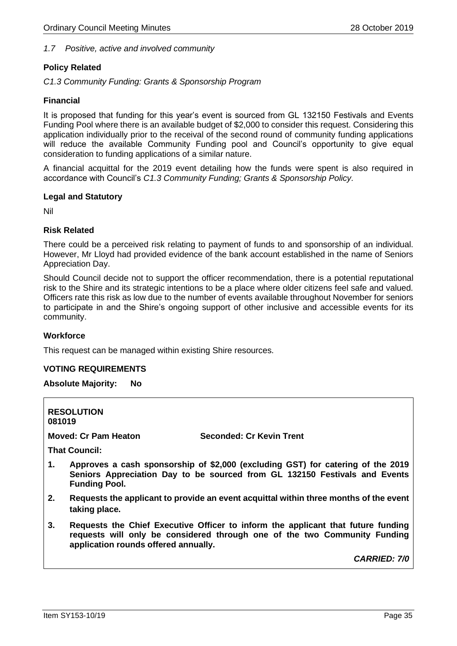#### *1.7 Positive, active and involved community*

#### **Policy Related**

*C1.3 Community Funding: Grants & Sponsorship Program* 

#### **Financial**

It is proposed that funding for this year's event is sourced from GL 132150 Festivals and Events Funding Pool where there is an available budget of \$2,000 to consider this request. Considering this application individually prior to the receival of the second round of community funding applications will reduce the available Community Funding pool and Council's opportunity to give equal consideration to funding applications of a similar nature.

A financial acquittal for the 2019 event detailing how the funds were spent is also required in accordance with Council's *C1.3 Community Funding; Grants & Sponsorship Policy.*

#### **Legal and Statutory**

Nil

#### **Risk Related**

There could be a perceived risk relating to payment of funds to and sponsorship of an individual. However, Mr Lloyd had provided evidence of the bank account established in the name of Seniors Appreciation Day.

Should Council decide not to support the officer recommendation, there is a potential reputational risk to the Shire and its strategic intentions to be a place where older citizens feel safe and valued. Officers rate this risk as low due to the number of events available throughout November for seniors to participate in and the Shire's ongoing support of other inclusive and accessible events for its community.

#### **Workforce**

This request can be managed within existing Shire resources.

#### **VOTING REQUIREMENTS**

#### **Absolute Majority: No**

| 081019                      | <b>RESOLUTION</b>                                                                                                                                                                     |                                                                                                                                                               |  |  |
|-----------------------------|---------------------------------------------------------------------------------------------------------------------------------------------------------------------------------------|---------------------------------------------------------------------------------------------------------------------------------------------------------------|--|--|
| <b>Moved: Cr Pam Heaton</b> |                                                                                                                                                                                       | <b>Seconded: Cr Kevin Trent</b>                                                                                                                               |  |  |
|                             | <b>That Council:</b>                                                                                                                                                                  |                                                                                                                                                               |  |  |
| 1.                          | Approves a cash sponsorship of \$2,000 (excluding GST) for catering of the 2019<br>Seniors Appreciation Day to be sourced from GL 132150 Festivals and Events<br><b>Funding Pool.</b> |                                                                                                                                                               |  |  |
| 2.                          | Requests the applicant to provide an event acquittal within three months of the event<br>taking place.                                                                                |                                                                                                                                                               |  |  |
| 3.                          | application rounds offered annually.                                                                                                                                                  | Requests the Chief Executive Officer to inform the applicant that future funding<br>requests will only be considered through one of the two Community Funding |  |  |

*CARRIED: 7/0*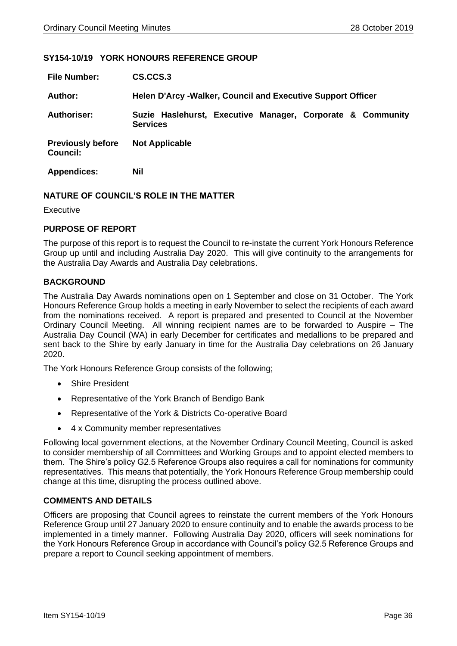#### <span id="page-35-0"></span>**SY154-10/19 YORK HONOURS REFERENCE GROUP**

| <b>File Number:</b>                  | CS.CCS.3                                                                      |
|--------------------------------------|-------------------------------------------------------------------------------|
| <b>Author:</b>                       | <b>Helen D'Arcy -Walker, Council and Executive Support Officer</b>            |
| <b>Authoriser:</b>                   | Suzie Haslehurst, Executive Manager, Corporate & Community<br><b>Services</b> |
| <b>Previously before</b><br>Council: | <b>Not Applicable</b>                                                         |
| <b>Appendices:</b>                   | Nil                                                                           |

#### **NATURE OF COUNCIL'S ROLE IN THE MATTER**

Executive

#### **PURPOSE OF REPORT**

The purpose of this report is to request the Council to re-instate the current York Honours Reference Group up until and including Australia Day 2020. This will give continuity to the arrangements for the Australia Day Awards and Australia Day celebrations.

#### **BACKGROUND**

The Australia Day Awards nominations open on 1 September and close on 31 October. The York Honours Reference Group holds a meeting in early November to select the recipients of each award from the nominations received. A report is prepared and presented to Council at the November Ordinary Council Meeting. All winning recipient names are to be forwarded to Auspire – The Australia Day Council (WA) in early December for certificates and medallions to be prepared and sent back to the Shire by early January in time for the Australia Day celebrations on 26 January 2020.

The York Honours Reference Group consists of the following;

- Shire President
- Representative of the York Branch of Bendigo Bank
- Representative of the York & Districts Co-operative Board
- 4 x Community member representatives

Following local government elections, at the November Ordinary Council Meeting, Council is asked to consider membership of all Committees and Working Groups and to appoint elected members to them. The Shire's policy G2.5 Reference Groups also requires a call for nominations for community representatives. This means that potentially, the York Honours Reference Group membership could change at this time, disrupting the process outlined above.

#### **COMMENTS AND DETAILS**

Officers are proposing that Council agrees to reinstate the current members of the York Honours Reference Group until 27 January 2020 to ensure continuity and to enable the awards process to be implemented in a timely manner. Following Australia Day 2020, officers will seek nominations for the York Honours Reference Group in accordance with Council's policy G2.5 Reference Groups and prepare a report to Council seeking appointment of members.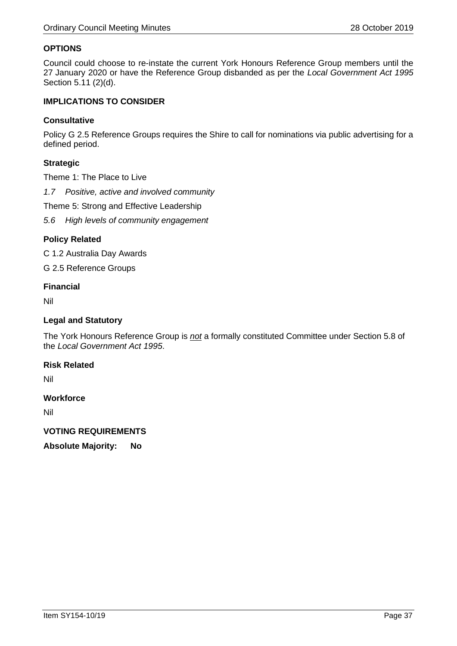#### **OPTIONS**

Council could choose to re-instate the current York Honours Reference Group members until the 27 January 2020 or have the Reference Group disbanded as per the *Local Government Act 1995* Section 5.11 (2)(d).

#### **IMPLICATIONS TO CONSIDER**

#### **Consultative**

Policy G 2.5 Reference Groups requires the Shire to call for nominations via public advertising for a defined period.

#### **Strategic**

Theme 1: The Place to Live

*1.7 Positive, active and involved community*

Theme 5: Strong and Effective Leadership

*5.6 High levels of community engagement*

#### **Policy Related**

C 1.2 Australia Day Awards

G 2.5 Reference Groups

#### **Financial**

Nil

#### **Legal and Statutory**

The York Honours Reference Group is *not* a formally constituted Committee under Section 5.8 of the *Local Government Act 1995*.

#### **Risk Related**

Nil

#### **Workforce**

Nil

#### **VOTING REQUIREMENTS**

**Absolute Majority: No**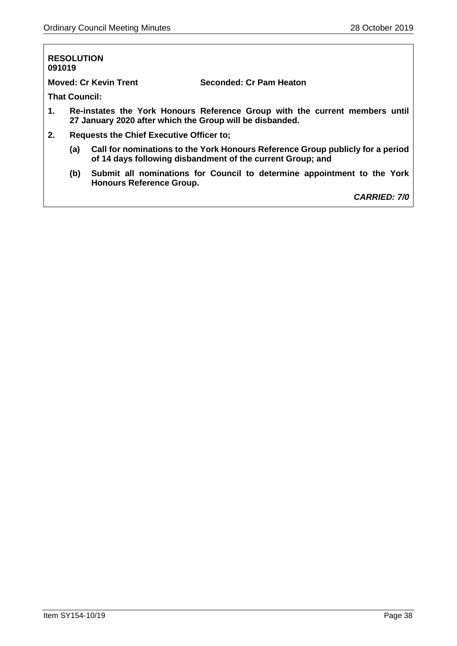## **RESOLUTION 091019 Moved: Cr Kevin Trent Seconded: Cr Pam Heaton That Council: 1. Re-instates the York Honours Reference Group with the current members until 27 January 2020 after which the Group will be disbanded. 2. Requests the Chief Executive Officer to; (a) Call for nominations to the York Honours Reference Group publicly for a period of 14 days following disbandment of the current Group; and (b) Submit all nominations for Council to determine appointment to the York Honours Reference Group.**

*CARRIED: 7/0*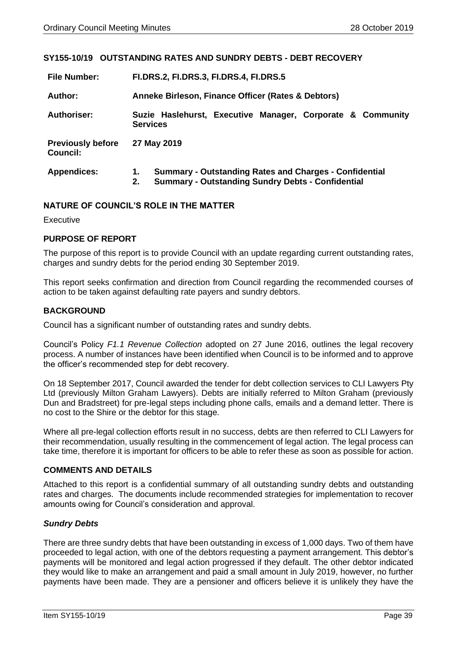#### <span id="page-38-0"></span>**SY155-10/19 OUTSTANDING RATES AND SUNDRY DEBTS - DEBT RECOVERY**

| <b>File Number:</b>                  | FI.DRS.2, FI.DRS.3, FI.DRS.4, FI.DRS.5                                                                                                |  |  |  |
|--------------------------------------|---------------------------------------------------------------------------------------------------------------------------------------|--|--|--|
| Author:                              | Anneke Birleson, Finance Officer (Rates & Debtors)                                                                                    |  |  |  |
| <b>Authoriser:</b>                   | Suzie Haslehurst, Executive Manager, Corporate & Community<br><b>Services</b>                                                         |  |  |  |
| <b>Previously before</b><br>Council: | 27 May 2019                                                                                                                           |  |  |  |
| <b>Appendices:</b>                   | <b>Summary - Outstanding Rates and Charges - Confidential</b><br>1.<br><b>Summary - Outstanding Sundry Debts - Confidential</b><br>2. |  |  |  |

#### **NATURE OF COUNCIL'S ROLE IN THE MATTER**

Executive

#### **PURPOSE OF REPORT**

The purpose of this report is to provide Council with an update regarding current outstanding rates, charges and sundry debts for the period ending 30 September 2019.

This report seeks confirmation and direction from Council regarding the recommended courses of action to be taken against defaulting rate payers and sundry debtors.

#### **BACKGROUND**

Council has a significant number of outstanding rates and sundry debts.

Council's Policy *F1.1 Revenue Collection* adopted on 27 June 2016, outlines the legal recovery process. A number of instances have been identified when Council is to be informed and to approve the officer's recommended step for debt recovery.

On 18 September 2017, Council awarded the tender for debt collection services to CLI Lawyers Pty Ltd (previously Milton Graham Lawyers). Debts are initially referred to Milton Graham (previously Dun and Bradstreet) for pre-legal steps including phone calls, emails and a demand letter. There is no cost to the Shire or the debtor for this stage.

Where all pre-legal collection efforts result in no success, debts are then referred to CLI Lawyers for their recommendation, usually resulting in the commencement of legal action. The legal process can take time, therefore it is important for officers to be able to refer these as soon as possible for action.

#### **COMMENTS AND DETAILS**

Attached to this report is a confidential summary of all outstanding sundry debts and outstanding rates and charges. The documents include recommended strategies for implementation to recover amounts owing for Council's consideration and approval.

#### *Sundry Debts*

There are three sundry debts that have been outstanding in excess of 1,000 days. Two of them have proceeded to legal action, with one of the debtors requesting a payment arrangement. This debtor's payments will be monitored and legal action progressed if they default. The other debtor indicated they would like to make an arrangement and paid a small amount in July 2019, however, no further payments have been made. They are a pensioner and officers believe it is unlikely they have the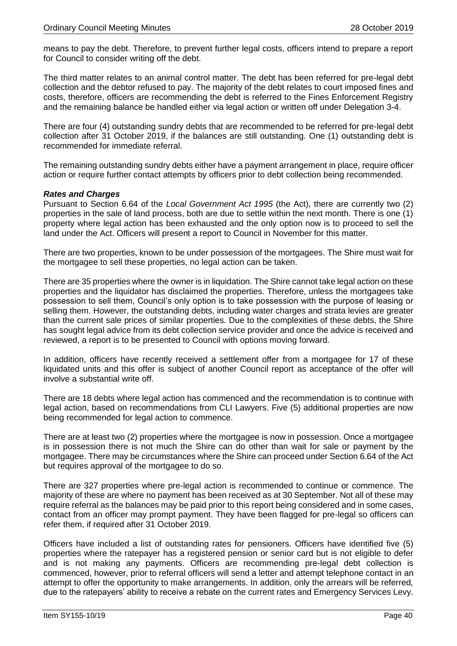means to pay the debt. Therefore, to prevent further legal costs, officers intend to prepare a report for Council to consider writing off the debt.

The third matter relates to an animal control matter. The debt has been referred for pre-legal debt collection and the debtor refused to pay. The majority of the debt relates to court imposed fines and costs, therefore, officers are recommending the debt is referred to the Fines Enforcement Registry and the remaining balance be handled either via legal action or written off under Delegation 3-4.

There are four (4) outstanding sundry debts that are recommended to be referred for pre-legal debt collection after 31 October 2019, if the balances are still outstanding. One (1) outstanding debt is recommended for immediate referral.

The remaining outstanding sundry debts either have a payment arrangement in place, require officer action or require further contact attempts by officers prior to debt collection being recommended.

#### *Rates and Charges*

Pursuant to Section 6.64 of the *Local Government Act 1995* (the Act), there are currently two (2) properties in the sale of land process, both are due to settle within the next month. There is one (1) property where legal action has been exhausted and the only option now is to proceed to sell the land under the Act. Officers will present a report to Council in November for this matter.

There are two properties, known to be under possession of the mortgagees. The Shire must wait for the mortgagee to sell these properties, no legal action can be taken.

There are 35 properties where the owner is in liquidation. The Shire cannot take legal action on these properties and the liquidator has disclaimed the properties. Therefore, unless the mortgagees take possession to sell them, Council's only option is to take possession with the purpose of leasing or selling them. However, the outstanding debts, including water charges and strata levies are greater than the current sale prices of similar properties. Due to the complexities of these debts, the Shire has sought legal advice from its debt collection service provider and once the advice is received and reviewed, a report is to be presented to Council with options moving forward.

In addition, officers have recently received a settlement offer from a mortgagee for 17 of these liquidated units and this offer is subject of another Council report as acceptance of the offer will involve a substantial write off.

There are 18 debts where legal action has commenced and the recommendation is to continue with legal action, based on recommendations from CLI Lawyers. Five (5) additional properties are now being recommended for legal action to commence.

There are at least two (2) properties where the mortgagee is now in possession. Once a mortgagee is in possession there is not much the Shire can do other than wait for sale or payment by the mortgagee. There may be circumstances where the Shire can proceed under Section 6.64 of the Act but requires approval of the mortgagee to do so.

There are 327 properties where pre-legal action is recommended to continue or commence. The majority of these are where no payment has been received as at 30 September. Not all of these may require referral as the balances may be paid prior to this report being considered and in some cases, contact from an officer may prompt payment. They have been flagged for pre-legal so officers can refer them, if required after 31 October 2019.

Officers have included a list of outstanding rates for pensioners. Officers have identified five (5) properties where the ratepayer has a registered pension or senior card but is not eligible to defer and is not making any payments. Officers are recommending pre-legal debt collection is commenced, however, prior to referral officers will send a letter and attempt telephone contact in an attempt to offer the opportunity to make arrangements. In addition, only the arrears will be referred, due to the ratepayers' ability to receive a rebate on the current rates and Emergency Services Levy.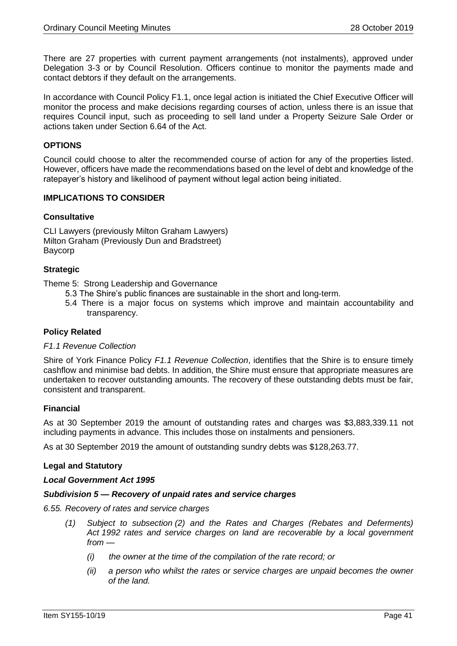There are 27 properties with current payment arrangements (not instalments), approved under Delegation 3-3 or by Council Resolution. Officers continue to monitor the payments made and contact debtors if they default on the arrangements.

In accordance with Council Policy F1.1, once legal action is initiated the Chief Executive Officer will monitor the process and make decisions regarding courses of action, unless there is an issue that requires Council input, such as proceeding to sell land under a Property Seizure Sale Order or actions taken under Section 6.64 of the Act.

#### **OPTIONS**

Council could choose to alter the recommended course of action for any of the properties listed. However, officers have made the recommendations based on the level of debt and knowledge of the ratepayer's history and likelihood of payment without legal action being initiated.

#### **IMPLICATIONS TO CONSIDER**

#### **Consultative**

CLI Lawyers (previously Milton Graham Lawyers) Milton Graham (Previously Dun and Bradstreet) Baycorp

#### **Strategic**

Theme 5: Strong Leadership and Governance

- 5.3 The Shire's public finances are sustainable in the short and long-term.
- 5.4 There is a major focus on systems which improve and maintain accountability and transparency.

#### **Policy Related**

#### *F1.1 Revenue Collection*

Shire of York Finance Policy *F1.1 Revenue Collection*, identifies that the Shire is to ensure timely cashflow and minimise bad debts. In addition, the Shire must ensure that appropriate measures are undertaken to recover outstanding amounts. The recovery of these outstanding debts must be fair, consistent and transparent.

#### **Financial**

As at 30 September 2019 the amount of outstanding rates and charges was \$3,883,339.11 not including payments in advance. This includes those on instalments and pensioners.

As at 30 September 2019 the amount of outstanding sundry debts was \$128,263.77.

#### **Legal and Statutory**

#### *Local Government Act 1995*

#### *Subdivision 5 — Recovery of unpaid rates and service charges*

- *6.55. Recovery of rates and service charges*
	- *(1) Subject to subsection (2) and the Rates and Charges (Rebates and Deferments) Act 1992 rates and service charges on land are recoverable by a local government from —*
		- *(i) the owner at the time of the compilation of the rate record; or*
		- *(ii) a person who whilst the rates or service charges are unpaid becomes the owner of the land.*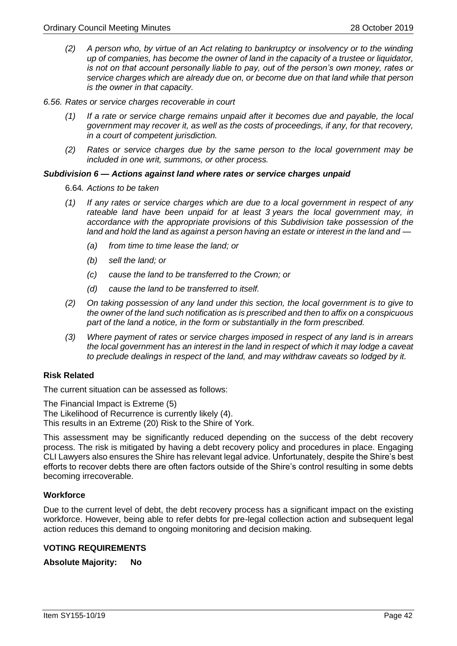- *(2) A person who, by virtue of an Act relating to bankruptcy or insolvency or to the winding up of companies, has become the owner of land in the capacity of a trustee or liquidator, is not on that account personally liable to pay, out of the person's own money, rates or service charges which are already due on, or become due on that land while that person is the owner in that capacity.*
- *6.56. Rates or service charges recoverable in court*
	- *(1) If a rate or service charge remains unpaid after it becomes due and payable, the local government may recover it, as well as the costs of proceedings, if any, for that recovery, in a court of competent jurisdiction.*
	- *(2) Rates or service charges due by the same person to the local government may be included in one writ, summons, or other process.*

#### *Subdivision 6 — Actions against land where rates or service charges unpaid*

6.64*. Actions to be taken*

- *(1) If any rates or service charges which are due to a local government in respect of any rateable land have been unpaid for at least 3 years the local government may, in accordance with the appropriate provisions of this Subdivision take possession of the land and hold the land as against a person having an estate or interest in the land and —*
	- *(a) from time to time lease the land; or*
	- *(b) sell the land; or*
	- *(c) cause the land to be transferred to the Crown; or*
	- *(d) cause the land to be transferred to itself.*
- *(2) On taking possession of any land under this section, the local government is to give to the owner of the land such notification as is prescribed and then to affix on a conspicuous part of the land a notice, in the form or substantially in the form prescribed.*
- *(3) Where payment of rates or service charges imposed in respect of any land is in arrears the local government has an interest in the land in respect of which it may lodge a caveat to preclude dealings in respect of the land, and may withdraw caveats so lodged by it.*

#### **Risk Related**

The current situation can be assessed as follows:

The Financial Impact is Extreme (5)

The Likelihood of Recurrence is currently likely (4).

This results in an Extreme (20) Risk to the Shire of York.

This assessment may be significantly reduced depending on the success of the debt recovery process. The risk is mitigated by having a debt recovery policy and procedures in place. Engaging CLI Lawyers also ensures the Shire has relevant legal advice. Unfortunately, despite the Shire's best efforts to recover debts there are often factors outside of the Shire's control resulting in some debts becoming irrecoverable.

#### **Workforce**

Due to the current level of debt, the debt recovery process has a significant impact on the existing workforce. However, being able to refer debts for pre-legal collection action and subsequent legal action reduces this demand to ongoing monitoring and decision making.

#### **VOTING REQUIREMENTS**

**Absolute Majority: No**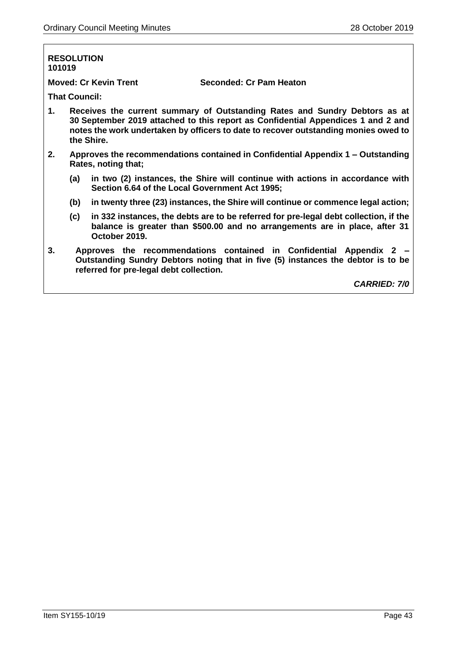## **RESOLUTION 101019 Moved: Cr Kevin Trent Seconded: Cr Pam Heaton That Council: 1. Receives the current summary of Outstanding Rates and Sundry Debtors as at 30 September 2019 attached to this report as Confidential Appendices 1 and 2 and notes the work undertaken by officers to date to recover outstanding monies owed to the Shire. 2. Approves the recommendations contained in Confidential Appendix 1 – Outstanding Rates, noting that; (a) in two (2) instances, the Shire will continue with actions in accordance with Section 6.64 of the Local Government Act 1995; (b) in twenty three (23) instances, the Shire will continue or commence legal action; (c) in 332 instances, the debts are to be referred for pre-legal debt collection, if the balance is greater than \$500.00 and no arrangements are in place, after 31 October 2019. 3. Approves the recommendations contained in Confidential Appendix 2 – Outstanding Sundry Debtors noting that in five (5) instances the debtor is to be referred for pre-legal debt collection.**

*CARRIED: 7/0*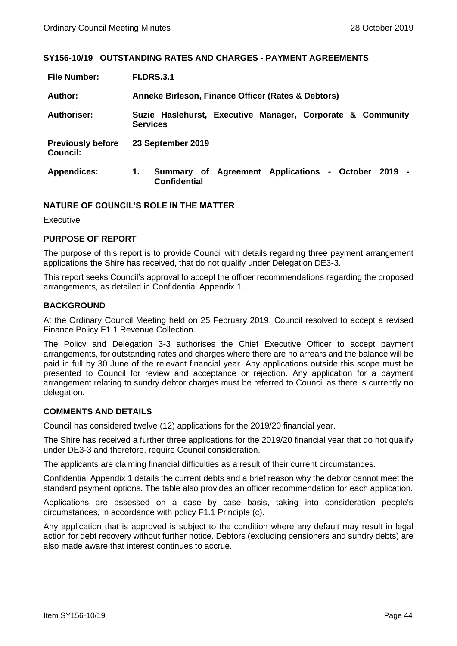#### <span id="page-43-0"></span>**SY156-10/19 OUTSTANDING RATES AND CHARGES - PAYMENT AGREEMENTS**

| <b>File Number:</b>                         | <b>FI.DRS.3.1</b>                                                                |  |  |
|---------------------------------------------|----------------------------------------------------------------------------------|--|--|
| Author:                                     | Anneke Birleson, Finance Officer (Rates & Debtors)                               |  |  |
| <b>Authoriser:</b>                          | Suzie Haslehurst, Executive Manager, Corporate & Community<br><b>Services</b>    |  |  |
| <b>Previously before</b><br><b>Council:</b> | 23 September 2019                                                                |  |  |
| <b>Appendices:</b>                          | 1.<br>Summary of Agreement Applications - October<br>2019<br><b>Confidential</b> |  |  |

#### **NATURE OF COUNCIL'S ROLE IN THE MATTER**

Executive

#### **PURPOSE OF REPORT**

The purpose of this report is to provide Council with details regarding three payment arrangement applications the Shire has received, that do not qualify under Delegation DE3-3.

This report seeks Council's approval to accept the officer recommendations regarding the proposed arrangements, as detailed in Confidential Appendix 1.

#### **BACKGROUND**

At the Ordinary Council Meeting held on 25 February 2019, Council resolved to accept a revised Finance Policy F1.1 Revenue Collection.

The Policy and Delegation 3-3 authorises the Chief Executive Officer to accept payment arrangements, for outstanding rates and charges where there are no arrears and the balance will be paid in full by 30 June of the relevant financial year. Any applications outside this scope must be presented to Council for review and acceptance or rejection. Any application for a payment arrangement relating to sundry debtor charges must be referred to Council as there is currently no delegation.

#### **COMMENTS AND DETAILS**

Council has considered twelve (12) applications for the 2019/20 financial year.

The Shire has received a further three applications for the 2019/20 financial year that do not qualify under DE3-3 and therefore, require Council consideration.

The applicants are claiming financial difficulties as a result of their current circumstances.

Confidential Appendix 1 details the current debts and a brief reason why the debtor cannot meet the standard payment options. The table also provides an officer recommendation for each application.

Applications are assessed on a case by case basis, taking into consideration people's circumstances, in accordance with policy F1.1 Principle (c).

Any application that is approved is subject to the condition where any default may result in legal action for debt recovery without further notice. Debtors (excluding pensioners and sundry debts) are also made aware that interest continues to accrue.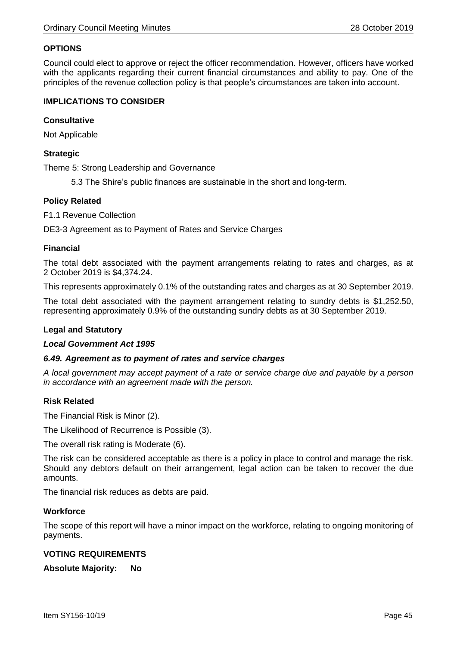#### **OPTIONS**

Council could elect to approve or reject the officer recommendation. However, officers have worked with the applicants regarding their current financial circumstances and ability to pay. One of the principles of the revenue collection policy is that people's circumstances are taken into account.

#### **IMPLICATIONS TO CONSIDER**

#### **Consultative**

Not Applicable

#### **Strategic**

Theme 5: Strong Leadership and Governance

5.3 The Shire's public finances are sustainable in the short and long-term.

#### **Policy Related**

F1.1 Revenue Collection

DE3-3 Agreement as to Payment of Rates and Service Charges

#### **Financial**

The total debt associated with the payment arrangements relating to rates and charges, as at 2 October 2019 is \$4,374.24.

This represents approximately 0.1% of the outstanding rates and charges as at 30 September 2019.

The total debt associated with the payment arrangement relating to sundry debts is \$1,252.50, representing approximately 0.9% of the outstanding sundry debts as at 30 September 2019.

#### **Legal and Statutory**

#### *Local Government Act 1995*

#### *6.49. Agreement as to payment of rates and service charges*

*A local government may accept payment of a rate or service charge due and payable by a person in accordance with an agreement made with the person.*

#### **Risk Related**

The Financial Risk is Minor (2).

The Likelihood of Recurrence is Possible (3).

The overall risk rating is Moderate (6).

The risk can be considered acceptable as there is a policy in place to control and manage the risk. Should any debtors default on their arrangement, legal action can be taken to recover the due amounts.

The financial risk reduces as debts are paid.

#### **Workforce**

The scope of this report will have a minor impact on the workforce, relating to ongoing monitoring of payments.

#### **VOTING REQUIREMENTS**

**Absolute Majority: No**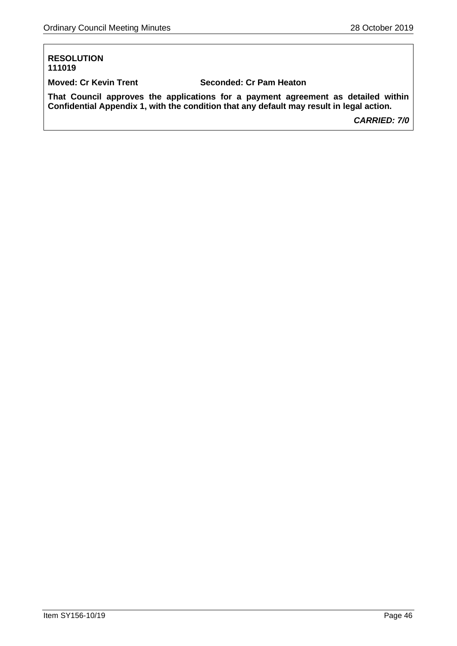#### **RESOLUTION 111019**

**Moved: Cr Kevin Trent Seconded: Cr Pam Heaton**

**That Council approves the applications for a payment agreement as detailed within Confidential Appendix 1, with the condition that any default may result in legal action.**

*CARRIED: 7/0*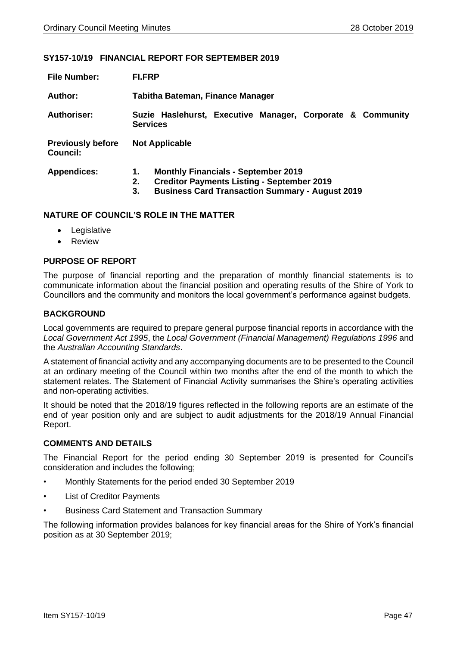#### <span id="page-46-0"></span>**SY157-10/19 FINANCIAL REPORT FOR SEPTEMBER 2019**

| <b>File Number:</b>                         | <b>FI.FRP</b>                                                                                                                                                               |  |  |  |
|---------------------------------------------|-----------------------------------------------------------------------------------------------------------------------------------------------------------------------------|--|--|--|
| Author:                                     | Tabitha Bateman, Finance Manager                                                                                                                                            |  |  |  |
| <b>Authoriser:</b>                          | Suzie Haslehurst, Executive Manager, Corporate & Community<br><b>Services</b>                                                                                               |  |  |  |
| <b>Previously before</b><br><b>Council:</b> | <b>Not Applicable</b>                                                                                                                                                       |  |  |  |
| <b>Appendices:</b>                          | <b>Monthly Financials - September 2019</b><br>1.<br><b>Creditor Payments Listing - September 2019</b><br>2.<br><b>Business Card Transaction Summary - August 2019</b><br>3. |  |  |  |

#### **NATURE OF COUNCIL'S ROLE IN THE MATTER**

- Legislative
- Review

#### **PURPOSE OF REPORT**

The purpose of financial reporting and the preparation of monthly financial statements is to communicate information about the financial position and operating results of the Shire of York to Councillors and the community and monitors the local government's performance against budgets.

#### **BACKGROUND**

Local governments are required to prepare general purpose financial reports in accordance with the *Local Government Act 1995*, the *Local Government (Financial Management) Regulations 1996* and the *Australian Accounting Standards*.

A statement of financial activity and any accompanying documents are to be presented to the Council at an ordinary meeting of the Council within two months after the end of the month to which the statement relates. The Statement of Financial Activity summarises the Shire's operating activities and non-operating activities.

It should be noted that the 2018/19 figures reflected in the following reports are an estimate of the end of year position only and are subject to audit adjustments for the 2018/19 Annual Financial Report.

#### **COMMENTS AND DETAILS**

The Financial Report for the period ending 30 September 2019 is presented for Council's consideration and includes the following;

- Monthly Statements for the period ended 30 September 2019
- List of Creditor Payments
- Business Card Statement and Transaction Summary

The following information provides balances for key financial areas for the Shire of York's financial position as at 30 September 2019;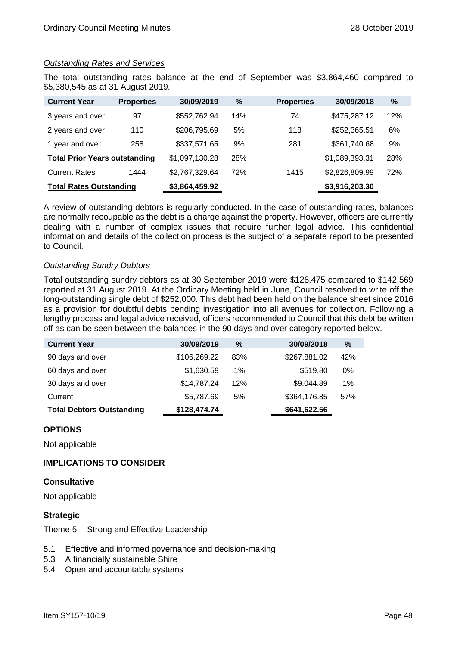#### *Outstanding Rates and Services*

The total outstanding rates balance at the end of September was \$3,864,460 compared to \$5,380,545 as at 31 August 2019.

| <b>Current Year</b>                  | <b>Properties</b> | 30/09/2019     | $\%$ | <b>Properties</b> | 30/09/2018     | %   |
|--------------------------------------|-------------------|----------------|------|-------------------|----------------|-----|
| 3 years and over                     | 97                | \$552,762.94   | 14%  | 74                | \$475,287.12   | 12% |
| 2 years and over                     | 110               | \$206,795.69   | 5%   | 118               | \$252,365.51   | 6%  |
| 1 year and over                      | 258               | \$337,571.65   | 9%   | 281               | \$361,740.68   | 9%  |
| <b>Total Prior Years outstanding</b> |                   | \$1,097,130.28 | 28%  |                   | \$1,089,393.31 | 28% |
| <b>Current Rates</b>                 | 1444              | \$2,767,329.64 | 72%  | 1415              | \$2,826,809.99 | 72% |
| <b>Total Rates Outstanding</b>       |                   | \$3,864,459.92 |      |                   | \$3,916,203.30 |     |

A review of outstanding debtors is regularly conducted. In the case of outstanding rates, balances are normally recoupable as the debt is a charge against the property. However, officers are currently dealing with a number of complex issues that require further legal advice. This confidential information and details of the collection process is the subject of a separate report to be presented to Council.

#### *Outstanding Sundry Debtors*

Total outstanding sundry debtors as at 30 September 2019 were \$128,475 compared to \$142,569 reported at 31 August 2019. At the Ordinary Meeting held in June, Council resolved to write off the long-outstanding single debt of \$252,000. This debt had been held on the balance sheet since 2016 as a provision for doubtful debts pending investigation into all avenues for collection. Following a lengthy process and legal advice received, officers recommended to Council that this debt be written off as can be seen between the balances in the 90 days and over category reported below.

| <b>Current Year</b>              | 30/09/2019   | $\%$  | 30/09/2018   | %   |
|----------------------------------|--------------|-------|--------------|-----|
| 90 days and over                 | \$106,269.22 | 83%   | \$267,881.02 | 42% |
| 60 days and over                 | \$1,630.59   | $1\%$ | \$519.80     | 0%  |
| 30 days and over                 | \$14,787.24  | 12%   | \$9,044.89   | 1%  |
| Current                          | \$5,787.69   | 5%    | \$364,176.85 | 57% |
| <b>Total Debtors Outstanding</b> | \$128,474.74 |       | \$641,622.56 |     |

#### **OPTIONS**

Not applicable

#### **IMPLICATIONS TO CONSIDER**

#### **Consultative**

Not applicable

#### **Strategic**

Theme 5: Strong and Effective Leadership

- 5.1 Effective and informed governance and decision-making
- 5.3 A financially sustainable Shire
- 5.4 Open and accountable systems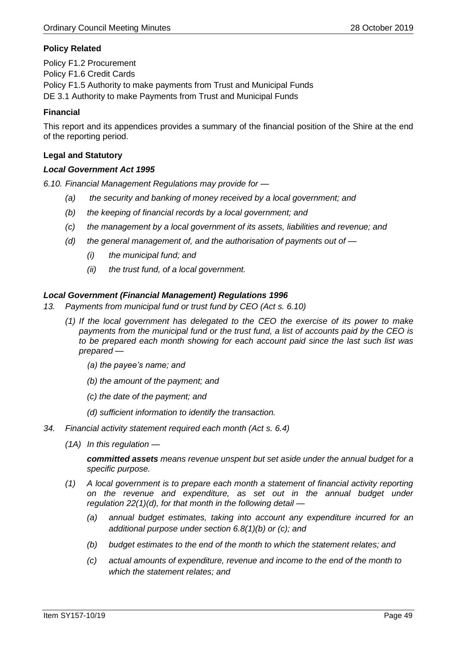#### **Policy Related**

Policy F1.2 Procurement Policy F1.6 Credit Cards Policy F1.5 Authority to make payments from Trust and Municipal Funds DE 3.1 Authority to make Payments from Trust and Municipal Funds

#### **Financial**

This report and its appendices provides a summary of the financial position of the Shire at the end of the reporting period.

#### **Legal and Statutory**

#### *Local Government Act 1995*

*6.10. Financial Management Regulations may provide for —*

- *(a) the security and banking of money received by a local government; and*
- *(b) the keeping of financial records by a local government; and*
- *(c) the management by a local government of its assets, liabilities and revenue; and*
- *(d) the general management of, and the authorisation of payments out of —*
	- *(i) the municipal fund; and*
	- *(ii) the trust fund, of a local government.*

#### *Local Government (Financial Management) Regulations 1996*

- *13. Payments from municipal fund or trust fund by CEO (Act s. 6.10)*
	- *(1) If the local government has delegated to the CEO the exercise of its power to make payments from the municipal fund or the trust fund, a list of accounts paid by the CEO is to be prepared each month showing for each account paid since the last such list was prepared —*
		- *(a) the payee's name; and*
		- *(b) the amount of the payment; and*
		- *(c) the date of the payment; and*
		- *(d) sufficient information to identify the transaction.*
- *34. Financial activity statement required each month (Act s. 6.4)*
	- *(1A) In this regulation —*

*committed assets means revenue unspent but set aside under the annual budget for a specific purpose.*

- *(1) A local government is to prepare each month a statement of financial activity reporting on the revenue and expenditure, as set out in the annual budget under regulation 22(1)(d), for that month in the following detail —*
	- *(a) annual budget estimates, taking into account any expenditure incurred for an additional purpose under section 6.8(1)(b) or (c); and*
	- *(b) budget estimates to the end of the month to which the statement relates; and*
	- *(c) actual amounts of expenditure, revenue and income to the end of the month to which the statement relates; and*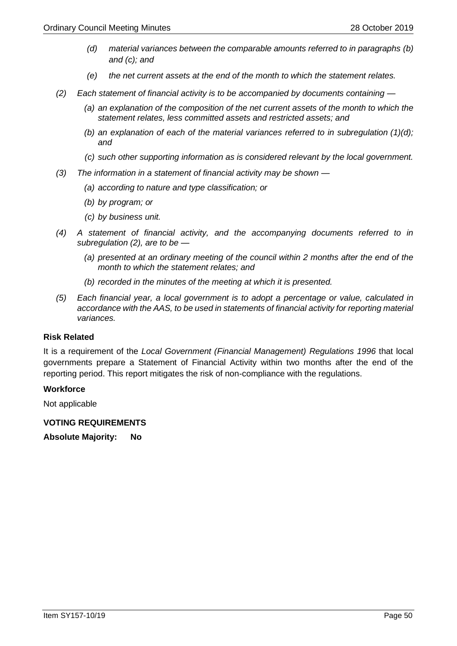- *(d) material variances between the comparable amounts referred to in paragraphs (b) and (c); and*
- *(e) the net current assets at the end of the month to which the statement relates.*
- *(2) Each statement of financial activity is to be accompanied by documents containing —*
	- *(a) an explanation of the composition of the net current assets of the month to which the statement relates, less committed assets and restricted assets; and*
	- *(b) an explanation of each of the material variances referred to in subregulation (1)(d); and*
	- *(c) such other supporting information as is considered relevant by the local government.*
- *(3) The information in a statement of financial activity may be shown —*
	- *(a) according to nature and type classification; or*
	- *(b) by program; or*
	- *(c) by business unit.*
- *(4) A statement of financial activity, and the accompanying documents referred to in subregulation (2), are to be —*
	- *(a) presented at an ordinary meeting of the council within 2 months after the end of the month to which the statement relates; and*
	- *(b) recorded in the minutes of the meeting at which it is presented.*
- *(5) Each financial year, a local government is to adopt a percentage or value, calculated in accordance with the AAS, to be used in statements of financial activity for reporting material variances.*

#### **Risk Related**

It is a requirement of the *Local Government (Financial Management) Regulations 1996* that local governments prepare a Statement of Financial Activity within two months after the end of the reporting period. This report mitigates the risk of non-compliance with the regulations.

#### **Workforce**

Not applicable

**VOTING REQUIREMENTS** 

**Absolute Majority: No**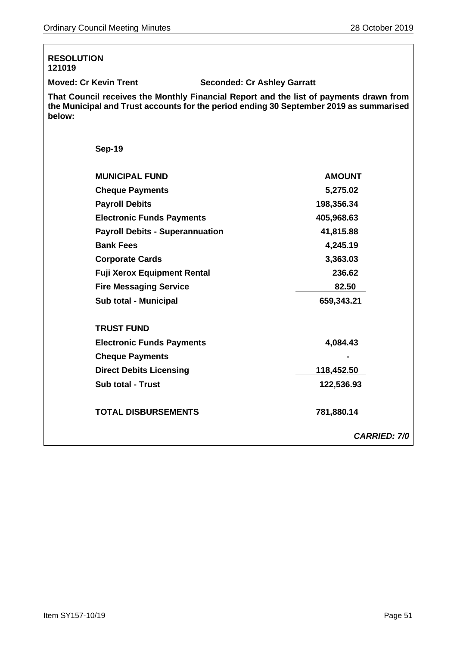| <b>RESOLUTION</b><br>121019            |                                                                                                                                                                                  |
|----------------------------------------|----------------------------------------------------------------------------------------------------------------------------------------------------------------------------------|
| <b>Moved: Cr Kevin Trent</b>           | <b>Seconded: Cr Ashley Garratt</b>                                                                                                                                               |
| below:                                 | That Council receives the Monthly Financial Report and the list of payments drawn from<br>the Municipal and Trust accounts for the period ending 30 September 2019 as summarised |
| <b>Sep-19</b>                          |                                                                                                                                                                                  |
| <b>MUNICIPAL FUND</b>                  | <b>AMOUNT</b>                                                                                                                                                                    |
| <b>Cheque Payments</b>                 | 5,275.02                                                                                                                                                                         |
| <b>Payroll Debits</b>                  | 198,356.34                                                                                                                                                                       |
| <b>Electronic Funds Payments</b>       | 405,968.63                                                                                                                                                                       |
| <b>Payroll Debits - Superannuation</b> | 41,815.88                                                                                                                                                                        |
| <b>Bank Fees</b>                       | 4,245.19                                                                                                                                                                         |
| <b>Corporate Cards</b>                 | 3,363.03                                                                                                                                                                         |
| <b>Fuji Xerox Equipment Rental</b>     | 236.62                                                                                                                                                                           |
| <b>Fire Messaging Service</b>          | 82.50                                                                                                                                                                            |
| Sub total - Municipal                  | 659,343.21                                                                                                                                                                       |
| <b>TRUST FUND</b>                      |                                                                                                                                                                                  |
| <b>Electronic Funds Payments</b>       | 4,084.43                                                                                                                                                                         |
| <b>Cheque Payments</b>                 |                                                                                                                                                                                  |
| <b>Direct Debits Licensing</b>         | 118,452.50                                                                                                                                                                       |
| <b>Sub total - Trust</b>               | 122,536.93                                                                                                                                                                       |
| <b>TOTAL DISBURSEMENTS</b>             | 781,880.14                                                                                                                                                                       |
|                                        | <b>CARRIED: 7/0</b>                                                                                                                                                              |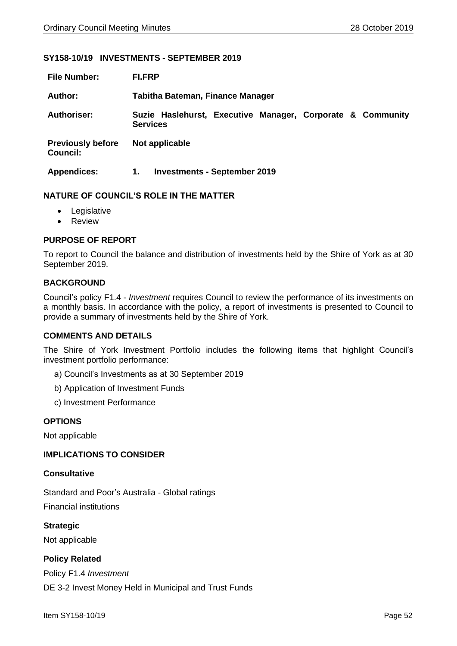#### <span id="page-51-0"></span>**SY158-10/19 INVESTMENTS - SEPTEMBER 2019**

| <b>File Number:</b>                         | <b>FI.FRP</b>                                                                 |  |  |  |
|---------------------------------------------|-------------------------------------------------------------------------------|--|--|--|
| Author:                                     | <b>Tabitha Bateman, Finance Manager</b>                                       |  |  |  |
| <b>Authoriser:</b>                          | Suzie Haslehurst, Executive Manager, Corporate & Community<br><b>Services</b> |  |  |  |
| <b>Previously before</b><br><b>Council:</b> | Not applicable                                                                |  |  |  |
| <b>Appendices:</b>                          | <b>Investments - September 2019</b><br>1.                                     |  |  |  |

#### **NATURE OF COUNCIL'S ROLE IN THE MATTER**

- Legislative
- Review

#### **PURPOSE OF REPORT**

To report to Council the balance and distribution of investments held by the Shire of York as at 30 September 2019.

#### **BACKGROUND**

Council's policy F1.4 - *Investment* requires Council to review the performance of its investments on a monthly basis. In accordance with the policy, a report of investments is presented to Council to provide a summary of investments held by the Shire of York.

#### **COMMENTS AND DETAILS**

The Shire of York Investment Portfolio includes the following items that highlight Council's investment portfolio performance:

- a) Council's Investments as at 30 September 2019
- b) Application of Investment Funds
- c) Investment Performance

#### **OPTIONS**

Not applicable

#### **IMPLICATIONS TO CONSIDER**

#### **Consultative**

Standard and Poor's Australia - Global ratings Financial institutions

**Strategic** Not applicable

#### **Policy Related**

Policy F1.4 *Investment* DE 3-2 Invest Money Held in Municipal and Trust Funds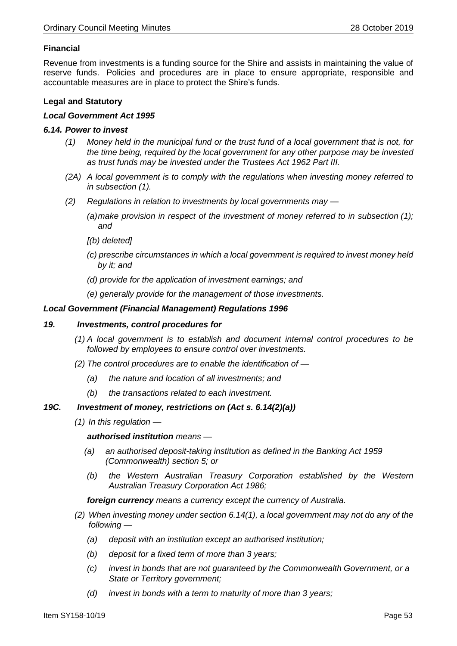#### **Financial**

Revenue from investments is a funding source for the Shire and assists in maintaining the value of reserve funds. Policies and procedures are in place to ensure appropriate, responsible and accountable measures are in place to protect the Shire's funds.

#### **Legal and Statutory**

#### *Local Government Act 1995*

#### *6.14. Power to invest*

- *(1) Money held in the municipal fund or the trust fund of a local government that is not, for the time being, required by the local government for any other purpose may be invested as trust funds may be invested under the Trustees Act 1962 Part III.*
- *(2A) A local government is to comply with the regulations when investing money referred to in subsection (1).*
- *(2) Regulations in relation to investments by local governments may —*
	- *(a)make provision in respect of the investment of money referred to in subsection (1); and*
	- *[(b) deleted]*
	- *(c) prescribe circumstances in which a local government is required to invest money held by it; and*
	- *(d) provide for the application of investment earnings; and*
	- *(e) generally provide for the management of those investments.*

#### *Local Government (Financial Management) Regulations 1996*

#### *19. Investments, control procedures for*

- *(1) A local government is to establish and document internal control procedures to be followed by employees to ensure control over investments.*
- *(2) The control procedures are to enable the identification of —*
	- *(a) the nature and location of all investments; and*
	- *(b) the transactions related to each investment.*

#### *19C. Investment of money, restrictions on (Act s. 6.14(2)(a))*

*(1) In this regulation —*

*authorised institution means —*

- *(a) an authorised deposit-taking institution as defined in the Banking Act 1959 (Commonwealth) section 5; or*
- *(b) the Western Australian Treasury Corporation established by the Western Australian Treasury Corporation Act 1986;*

*foreign currency means a currency except the currency of Australia.*

- *(2) When investing money under section 6.14(1), a local government may not do any of the following —*
	- *(a) deposit with an institution except an authorised institution;*
	- *(b) deposit for a fixed term of more than 3 years;*
	- *(c) invest in bonds that are not guaranteed by the Commonwealth Government, or a State or Territory government;*
	- *(d) invest in bonds with a term to maturity of more than 3 years;*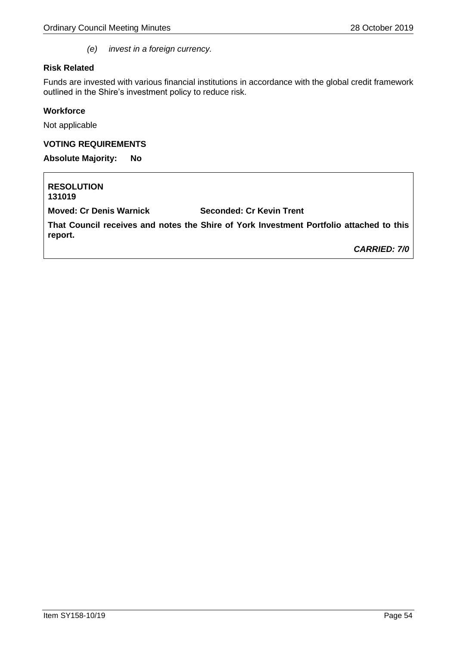*(e) invest in a foreign currency.*

#### **Risk Related**

Funds are invested with various financial institutions in accordance with the global credit framework outlined in the Shire's investment policy to reduce risk.

#### **Workforce**

Not applicable

#### **VOTING REQUIREMENTS**

**Absolute Majority: No**

**RESOLUTION 131019 Moved: Cr Denis Warnick Seconded: Cr Kevin Trent That Council receives and notes the Shire of York Investment Portfolio attached to this report.** *CARRIED: 7/0*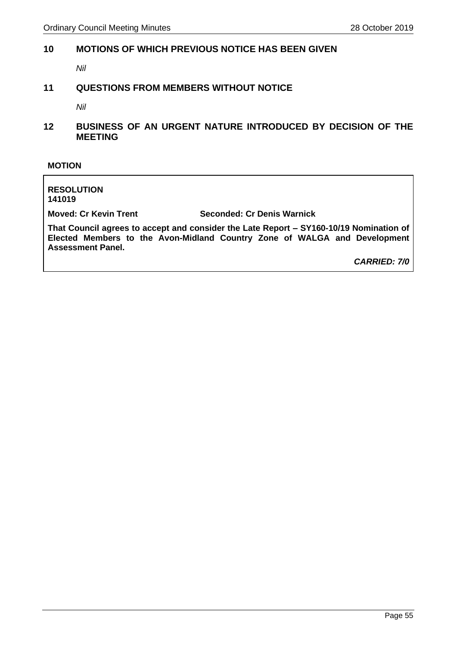#### <span id="page-54-0"></span>**10 MOTIONS OF WHICH PREVIOUS NOTICE HAS BEEN GIVEN**

*Nil*

#### <span id="page-54-1"></span>**11 QUESTIONS FROM MEMBERS WITHOUT NOTICE**

*Nil*

<span id="page-54-2"></span>**12 BUSINESS OF AN URGENT NATURE INTRODUCED BY DECISION OF THE MEETING**

#### **MOTION**

**RESOLUTION 141019**

**Moved: Cr Kevin Trent Seconded: Cr Denis Warnick**

**That Council agrees to accept and consider the Late Report – SY160-10/19 Nomination of Elected Members to the Avon-Midland Country Zone of WALGA and Development Assessment Panel.**

*CARRIED: 7/0*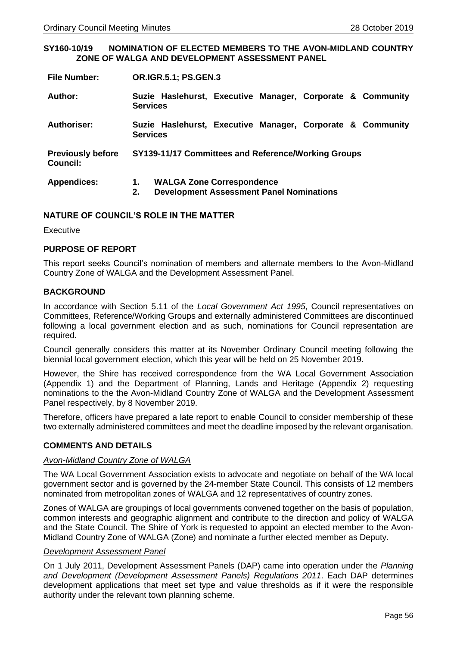#### **SY160-10/19 NOMINATION OF ELECTED MEMBERS TO THE AVON-MIDLAND COUNTRY ZONE OF WALGA AND DEVELOPMENT ASSESSMENT PANEL**

**Author: Suzie Haslehurst, Executive Manager, Corporate & Community Services**

- **Authoriser: Suzie Haslehurst, Executive Manager, Corporate & Community Services**
- **Previously before Council: SY139-11/17 Committees and Reference/Working Groups**

| <b>Appendices:</b> |  | <b>WALGA Zone Correspondence</b> |
|--------------------|--|----------------------------------|
|--------------------|--|----------------------------------|

**2. Development Assessment Panel Nominations** 

#### **NATURE OF COUNCIL'S ROLE IN THE MATTER**

**Executive** 

#### **PURPOSE OF REPORT**

This report seeks Council's nomination of members and alternate members to the Avon-Midland Country Zone of WALGA and the Development Assessment Panel.

#### **BACKGROUND**

In accordance with Section 5.11 of the *Local Government Act 1995*, Council representatives on Committees, Reference/Working Groups and externally administered Committees are discontinued following a local government election and as such, nominations for Council representation are required.

Council generally considers this matter at its November Ordinary Council meeting following the biennial local government election, which this year will be held on 25 November 2019.

However, the Shire has received correspondence from the WA Local Government Association (Appendix 1) and the Department of Planning, Lands and Heritage (Appendix 2) requesting nominations to the the Avon-Midland Country Zone of WALGA and the Development Assessment Panel respectively, by 8 November 2019.

Therefore, officers have prepared a late report to enable Council to consider membership of these two externally administered committees and meet the deadline imposed by the relevant organisation.

#### **COMMENTS AND DETAILS**

#### *Avon-Midland Country Zone of WALGA*

The WA Local Government Association exists to advocate and negotiate on behalf of the WA local government sector and is governed by the 24-member State Council. This consists of 12 members nominated from metropolitan zones of WALGA and 12 representatives of country zones.

Zones of WALGA are groupings of local governments convened together on the basis of population, common interests and geographic alignment and contribute to the direction and policy of WALGA and the State Council. The Shire of York is requested to appoint an elected member to the Avon-Midland Country Zone of WALGA (Zone) and nominate a further elected member as Deputy.

#### *Development Assessment Panel*

On 1 July 2011, Development Assessment Panels (DAP) came into operation under the *Planning and Development (Development Assessment Panels) Regulations 2011*. Each DAP determines development applications that meet set type and value thresholds as if it were the responsible authority under the relevant town planning scheme.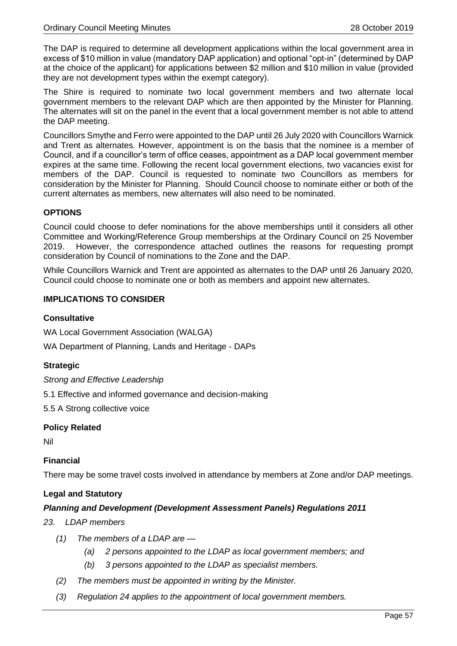The DAP is required to determine all development applications within the local government area in excess of \$10 million in value (mandatory DAP application) and optional "opt-in" (determined by DAP at the choice of the applicant) for applications between \$2 million and \$10 million in value (provided they are not development types within the exempt category).

The Shire is required to nominate two local government members and two alternate local government members to the relevant DAP which are then appointed by the Minister for Planning. The alternates will sit on the panel in the event that a local government member is not able to attend the DAP meeting.

Councillors Smythe and Ferro were appointed to the DAP until 26 July 2020 with Councillors Warnick and Trent as alternates. However, appointment is on the basis that the nominee is a member of Council, and if a councillor's term of office ceases, appointment as a DAP local government member expires at the same time. Following the recent local government elections, two vacancies exist for members of the DAP. Council is requested to nominate two Councillors as members for consideration by the Minister for Planning. Should Council choose to nominate either or both of the current alternates as members, new alternates will also need to be nominated.

#### **OPTIONS**

Council could choose to defer nominations for the above memberships until it considers all other Committee and Working/Reference Group memberships at the Ordinary Council on 25 November 2019. However, the correspondence attached outlines the reasons for requesting prompt consideration by Council of nominations to the Zone and the DAP.

While Councillors Warnick and Trent are appointed as alternates to the DAP until 26 January 2020, Council could choose to nominate one or both as members and appoint new alternates.

#### **IMPLICATIONS TO CONSIDER**

#### **Consultative**

WA Local Government Association (WALGA)

WA Department of Planning, Lands and Heritage - DAPs

#### **Strategic**

*Strong and Effective Leadership* 

5.1 Effective and informed governance and decision-making

5.5 A Strong collective voice

#### **Policy Related**

Nil

#### **Financial**

There may be some travel costs involved in attendance by members at Zone and/or DAP meetings.

#### **Legal and Statutory**

#### *Planning and Development (Development Assessment Panels) Regulations 2011*

#### *23. LDAP members*

- *(1) The members of a LDAP are —*
	- *(a) 2 persons appointed to the LDAP as local government members; and*
	- *(b) 3 persons appointed to the LDAP as specialist members.*
- *(2) The members must be appointed in writing by the Minister.*
- *(3) Regulation 24 applies to the appointment of local government members.*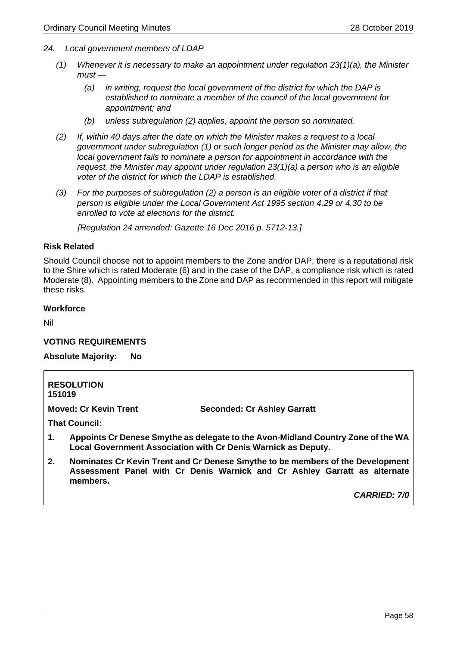- *24. Local government members of LDAP*
	- *(1) Whenever it is necessary to make an appointment under regulation 23(1)(a), the Minister must —*
		- *(a) in writing, request the local government of the district for which the DAP is established to nominate a member of the council of the local government for appointment; and*
		- *(b) unless subregulation (2) applies, appoint the person so nominated.*
	- *(2) If, within 40 days after the date on which the Minister makes a request to a local government under subregulation (1) or such longer period as the Minister may allow, the local government fails to nominate a person for appointment in accordance with the request, the Minister may appoint under regulation 23(1)(a) a person who is an eligible voter of the district for which the LDAP is established.*
	- *(3) For the purposes of subregulation (2) a person is an eligible voter of a district if that person is eligible under the Local Government Act 1995 section 4.29 or 4.30 to be enrolled to vote at elections for the district.*

*[Regulation 24 amended: Gazette 16 Dec 2016 p. 5712-13.]*

#### **Risk Related**

Should Council choose not to appoint members to the Zone and/or DAP, there is a reputational risk to the Shire which is rated Moderate (6) and in the case of the DAP, a compliance risk which is rated Moderate (8). Appointing members to the Zone and DAP as recommended in this report will mitigate these risks.

#### **Workforce**

Nil

#### **VOTING REQUIREMENTS**

**Absolute Majority: No**

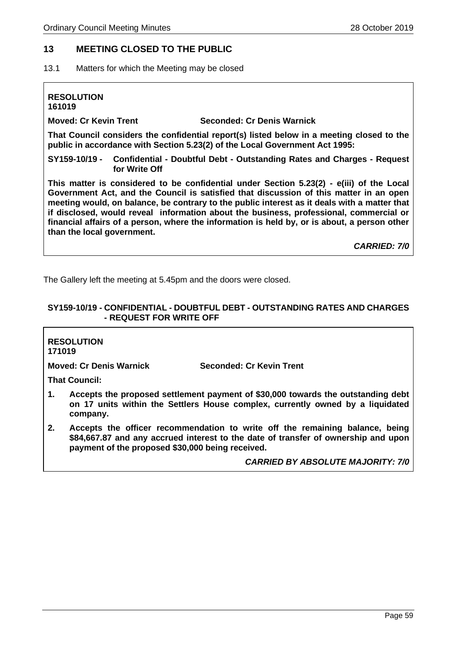#### <span id="page-58-0"></span>**13 MEETING CLOSED TO THE PUBLIC**

<span id="page-58-1"></span>13.1 Matters for which the Meeting may be closed

**RESOLUTION 161019 Moved: Cr Kevin Trent Seconded: Cr Denis Warnick That Council considers the confidential report(s) listed below in a meeting closed to the public in accordance with Section 5.23(2) of the Local Government Act 1995:**

**SY159-10/19 - Confidential - Doubtful Debt - Outstanding Rates and Charges - Request for Write Off**

**This matter is considered to be confidential under Section 5.23(2) - e(iii) of the Local Government Act, and the Council is satisfied that discussion of this matter in an open meeting would, on balance, be contrary to the public interest as it deals with a matter that if disclosed, would reveal information about the business, professional, commercial or financial affairs of a person, where the information is held by, or is about, a person other than the local government.** 

*CARRIED: 7/0*

The Gallery left the meeting at 5.45pm and the doors were closed.

#### <span id="page-58-2"></span>**SY159-10/19 - CONFIDENTIAL - DOUBTFUL DEBT - OUTSTANDING RATES AND CHARGES - REQUEST FOR WRITE OFF**

#### **RESOLUTION 171019**

**Moved: Cr Denis Warnick Seconded: Cr Kevin Trent**

**That Council:**

- **1. Accepts the proposed settlement payment of \$30,000 towards the outstanding debt on 17 units within the Settlers House complex, currently owned by a liquidated company.**
- **2. Accepts the officer recommendation to write off the remaining balance, being \$84,667.87 and any accrued interest to the date of transfer of ownership and upon payment of the proposed \$30,000 being received.**

*CARRIED BY ABSOLUTE MAJORITY: 7/0*